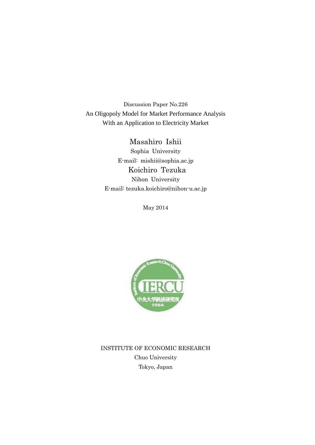Discussion Paper No.226 An Oligopoly Model for Market Performance Analysis With an Application to Electricity Market

> Masahiro Ishii Sophia University E-mail: mishii@sophia.ac.jp Koichiro Tezuka Nihon University E-mail: tezuka.koichiro@nihon-u.ac.jp

> > May 2014



INSTITUTE OF ECONOMIC RESEARCH Chuo University Tokyo, Japan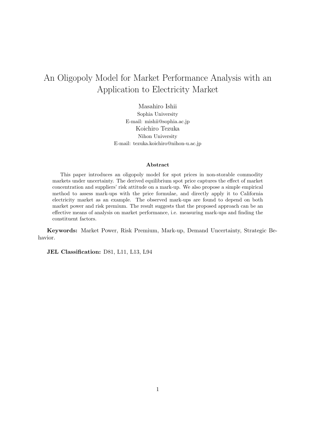# An Oligopoly Model for Market Performance Analysis with an Application to Electricity Market

Masahiro Ishii Sophia University E-mail: mishii@sophia.ac.jp Koichiro Tezuka Nihon University E-mail: tezuka.koichiro@nihon-u.ac.jp

#### **Abstract**

This paper introduces an oligopoly model for spot prices in non-storable commodity markets under uncertainty. The derived equilibrium spot price captures the effect of market concentration and suppliers' risk attitude on a mark-up. We also propose a simple empirical method to assess mark-ups with the price formulae, and directly apply it to California electricity market as an example. The observed mark-ups are found to depend on both market power and risk premium. The result suggests that the proposed approach can be an effective means of analysis on market performance, i.e. measuring mark-ups and finding the constituent factors.

**Keywords:** Market Power, Risk Premium, Mark-up, Demand Uncertainty, Strategic Behavior.

**JEL Classification:** D81, L11, L13, L94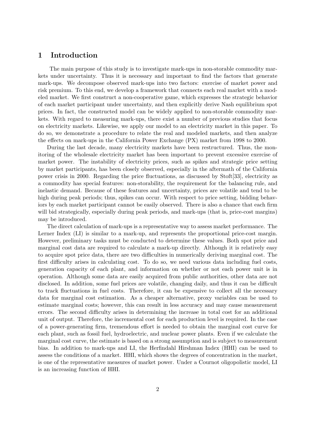### **1 Introduction**

The main purpose of this study is to investigate mark-ups in non-storable commodity markets under uncertainty. Thus it is necessary and important to find the factors that generate mark-ups. We decompose observed mark-ups into two factors: exercise of market power and risk premium. To this end, we develop a framework that connects each real market with a modeled market. We first construct a non-cooperative game, which expresses the strategic behavior of each market participant under uncertainty, and then explicitly derive Nash equilibrium spot prices. In fact, the constructed model can be widely applied to non-storable commodity markets. With regard to measuring mark-ups, there exist a number of previous studies that focus on electricity markets. Likewise, we apply our model to an electricity market in this paper. To do so, we demonstrate a procedure to relate the real and modeled markets, and then analyze the effects on mark-ups in the California Power Exchange (PX) market from 1998 to 2000.

During the last decade, many electricity markets have been restructured. Thus, the monitoring of the wholesale electricity market has been important to prevent excessive exercise of market power. The instability of electricity prices, such as spikes and strategic price setting by market participants, has been closely observed, especially in the aftermath of the California power crisis in 2000. Regarding the price fluctuations, as discussed by Stoft[33], electricity as a commodity has special features: non-storability, the requirement for the balancing rule, and inelastic demand. Because of these features and uncertainty, prices are volatile and tend to be high during peak periods; thus, spikes can occur. With respect to price setting, bidding behaviors by each market participant cannot be easily observed. There is also a chance that each firm will bid strategically, especially during peak periods, and mark-ups (that is, price-cost margins) may be introduced.

The direct calculation of mark-ups is a representative way to assess market performance. The Lerner Index (LI) is similar to a mark-up, and represents the proportional price-cost margin. However, preliminary tasks must be conducted to determine these values. Both spot price and marginal cost data are required to calculate a mark-up directly. Although it is relatively easy to acquire spot price data, there are two difficulties in numerically deriving marginal cost. The first difficulty arises in calculating cost. To do so, we need various data including fuel costs, generation capacity of each plant, and information on whether or not each power unit is in operation. Although some data are easily acquired from public authorities, other data are not disclosed. In addition, some fuel prices are volatile, changing daily, and thus it can be difficult to track fluctuations in fuel costs. Therefore, it can be expensive to collect all the necessary data for marginal cost estimation. As a cheaper alternative, proxy variables can be used to estimate marginal costs; however, this can result in less accuracy and may cause measurement errors. The second difficulty arises in determining the increase in total cost for an additional unit of output. Therefore, the incremental cost for each production level is required. In the case of a power-generating firm, tremendous effort is needed to obtain the marginal cost curve for each plant, such as fossil fuel, hydroelectric, and nuclear power plants. Even if we calculate the marginal cost curve, the estimate is based on a strong assumption and is subject to measurement bias. In addition to mark-ups and LI, the Herfindahl Hirshman Index (HHI) can be used to assess the conditions of a market. HHI, which shows the degrees of concentration in the market, is one of the representative measures of market power. Under a Cournot oligopolistic model, LI is an increasing function of HHI.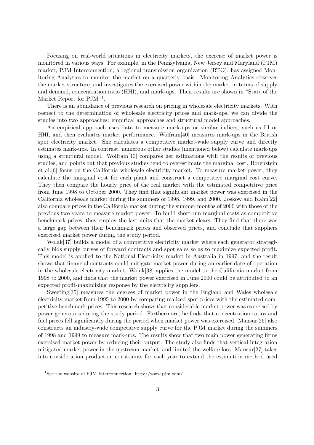Focusing on real-world situations in electricity markets, the exercise of market power is monitored in various ways. For example, in the Pennsylvania, New Jersey and Maryland (PJM) market, PJM Interconnection, a regional transmission organization (RTO), has assigned Monitoring Analytics to monitor the market on a quarterly basis. Monitoring Analytics observes the market structure, and investigates the exercised power within the market in terms of supply and demand, concentration ratio (HHI), and mark-ups. Their results are shown in "State of the Market Report for PJM"<sup>1</sup>.

There is an abundance of previous research on pricing in wholesale electricity markets. With respect to the determination of wholesale electricity prices and mark-ups, we can divide the studies into two approaches: empirical approaches and structural model approaches.

An empirical approach uses data to measure mark-ups or similar indices, such as LI or HHI, and then evaluates market performance. Wolfram[40] measures mark-ups in the British spot electricity market. She calculates a competitive market-wide supply curve and directly estimates mark-ups. In contrast, numerous other studies (mentioned below) calculate mark-ups using a structural model. Wolfram[40] compares her estimations with the results of previous studies, and points out that previous studies tend to overestimate the marginal cost. Borenstein et al.[6] focus on the California wholesale electricity market. To measure market power, they calculate the marginal cost for each plant and construct a competitive marginal cost curve. They then compare the hourly price of the real market with the estimated competitive price from June 1998 to October 2000. They find that significant market power was exercised in the California wholesale market during the summers of 1998, 1999, and 2000. Joskow and Kahn[22] also compare prices in the California market during the summer months of 2000 with those of the previous two years to measure market power. To build short-run marginal costs as competitive benchmark prices, they employ the last units that the market clears. They find that there was a large gap between their benchmark prices and observed prices, and conclude that suppliers exercised market power during the study period.

Wolak[37] builds a model of a competitive electricity market where each generator strategically bids supply curves of forward contracts and spot sales so as to maximize expected profit. This model is applied to the National Electricity market in Australia in 1997, and the result shows that financial contracts could mitigate market power during an earlier date of operation in the wholesale electricity market. Wolak[38] applies the model to the California market from 1998 to 2000, and finds that the market power exercised in June 2000 could be attributed to an expected profit-maximizing response by the electricity suppliers.

Sweeting[35] measures the degrees of market power in the England and Wales wholesale electricity market from 1995 to 2000 by comparing realized spot prices with the estimated competitive benchmark prices. This research shows that considerable market power was exercised by power generators during the study period. Furthermore, he finds that concentration ratios and fuel prices fell significantly during the period when market power was exercised. Mansur[26] also constructs an industry-wide competitive supply curve for the PJM market during the summers of 1998 and 1999 to measure mark-ups. The results show that two main power generating firms exercised market power by reducing their output. The study also finds that vertical integration mitigated market power in the upstream market, and limited the welfare loss. Mansur[27] takes into consideration production constraints for each year to extend the estimation method used

<sup>&</sup>lt;sup>1</sup>See the website of PJM Interconnection: http://www.pjm.com/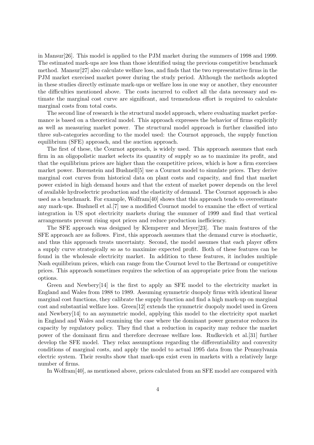in Mansur[26]. This model is applied to the PJM market during the summers of 1998 and 1999. The estimated mark-ups are less than those identified using the previous competitive benchmark method. Mansur[27] also calculate welfare loss, and finds that the two representative firms in the PJM market exercised market power during the study period. Although the methods adopted in these studies directly estimate mark-ups or welfare loss in one way or another, they encounter the difficulties mentioned above. The costs incurred to collect all the data necessary and estimate the marginal cost curve are significant, and tremendous effort is required to calculate marginal costs from total costs.

The second line of research is the structural model approach, where evaluating market performance is based on a theoretical model. This approach expresses the behavior of firms explicitly as well as measuring market power. The structural model approach is further classified into three sub-categories according to the model used: the Cournot approach, the supply function equilibrium (SFE) approach, and the auction approach.

The first of these, the Cournot approach, is widely used. This approach assumes that each firm in an oligopolistic market selects its quantity of supply so as to maximize its profit, and that the equilibrium prices are higher than the competitive prices, which is how a firm exercises market power. Borenstein and Bushnell[5] use a Cournot model to simulate prices. They derive marginal cost curves from historical data on plant costs and capacity, and find that market power existed in high demand hours and that the extent of market power depends on the level of available hydroelectric production and the elasticity of demand. The Cournot approach is also used as a benchmark. For example, Wolfram[40] shows that this approach tends to overestimate any mark-ups. Bushnell et al.[7] use a modified Cournot model to examine the effect of vertical integration in US spot electricity markets during the summer of 1999 and find that vertical arrangements prevent rising spot prices and reduce production inefficiency.

The SFE approach was designed by Klemperer and Meyer[23]. The main features of the SFE approach are as follows. First, this approach assumes that the demand curve is stochastic, and thus this approach treats uncertainty. Second, the model assumes that each player offers a supply curve strategically so as to maximize expected profit. Both of these features can be found in the wholesale electricity market. In addition to these features, it includes multiple Nash equilibrium prices, which can range from the Cournot level to the Bertrand or competitive prices. This approach sometimes requires the selection of an appropriate price from the various options.

Green and Newbery[14] is the first to apply an SFE model to the electricity market in England and Wales from 1988 to 1989. Assuming symmetric duopoly firms with identical linear marginal cost functions, they calibrate the supply function and find a high mark-up on marginal cost and substantial welfare loss. Green[12] extends the symmetric duopoly model used in Green and Newbery[14] to an asymmetric model, applying this model to the electricity spot market in England and Wales and examining the case where the dominant power generator reduces its capacity by regulatory policy. They find that a reduction in capacity may reduce the market power of the dominant firm and therefore decrease welfare loss. Rudkevich et al.[31] further develop the SFE model. They relax assumptions regarding the differentiability and convexity conditions of marginal costs, and apply the model to actual 1995 data from the Pennsylvania electric system. Their results show that mark-ups exist even in markets with a relatively large number of firms.

In Wolfram[40], as mentioned above, prices calculated from an SFE model are compared with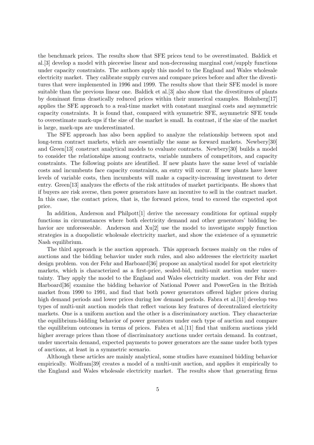the benchmark prices. The results show that SFE prices tend to be overestimated. Baldick et al.[3] develop a model with piecewise linear and non-decreasing marginal cost/supply functions under capacity constraints. The authors apply this model to the England and Wales wholesale electricity market. They calibrate supply curves and compare prices before and after the divestitures that were implemented in 1996 and 1999. The results show that their SFE model is more suitable than the previous linear one. Baldick et al.[3] also show that the divestitures of plants by dominant firms drastically reduced prices within their numerical examples. Holmberg[17] applies the SFE approach to a real-time market with constant marginal costs and asymmetric capacity constraints. It is found that, compared with symmetric SFE, asymmetric SFE tends to overestimate mark-ups if the size of the market is small. In contrast, if the size of the market is large, mark-ups are underestimated.

The SFE approach has also been applied to analyze the relationship between spot and long-term contract markets, which are essentially the same as forward markets. Newbery[30] and Green[13] construct analytical models to evaluate contracts. Newbery[30] builds a model to consider the relationships among contracts, variable numbers of competitors, and capacity constraints. The following points are identified. If new plants have the same level of variable costs and incumbents face capacity constraints, an entry will occur. If new plants have lower levels of variable costs, then incumbents will make a capacity-increasing investment to deter entry. Green[13] analyzes the effects of the risk attitudes of market participants. He shows that if buyers are risk averse, then power generators have an incentive to sell in the contract market. In this case, the contact prices, that is, the forward prices, tend to exceed the expected spot price.

In addition, Anderson and Philpott[1] derive the necessary conditions for optimal supply functions in circumstances where both electricity demand and other generators' bidding behavior are unforeseeable. Anderson and Xu[2] use the model to investigate supply function strategies in a duopolistic wholesale electricity market, and show the existence of a symmetric Nash equilibrium.

The third approach is the auction approach. This approach focuses mainly on the rules of auctions and the bidding behavior under such rules, and also addresses the electricity market design problem. von der Fehr and Harboard[36] propose an analytical model for spot electricity markets, which is characterized as a first-price, sealed-bid, multi-unit auction under uncertainty. They apply the model to the England and Wales electricity market. von der Fehr and Harboard[36] examine the bidding behavior of National Power and PowerGen in the British market from 1990 to 1991, and find that both power generators offered higher prices during high demand periods and lower prices during low demand periods. Fabra et al. [11] develop two types of multi-unit auction models that reflect various key features of decentralized electricity markets. One is a uniform auction and the other is a discriminatory auction. They characterize the equilibrium-bidding behavior of power generators under each type of auction and compare the equilibrium outcomes in terms of prices. Fabra et al.[11] find that uniform auctions yield higher average prices than those of discriminatory auctions under certain demand. In contrast, under uncertain demand, expected payments to power generators are the same under both types of auctions, at least in a symmetric scenario.

Although these articles are mainly analytical, some studies have examined bidding behavior empirically. Wolfram[39] creates a model of a multi-unit auction, and applies it empirically to the England and Wales wholesale electricity market. The results show that generating firms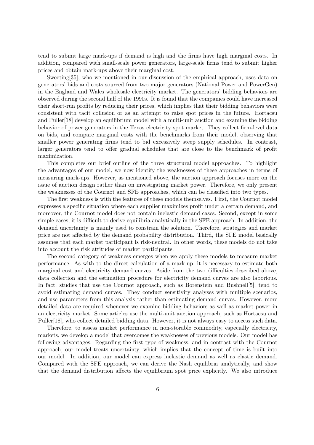tend to submit large mark-ups if demand is high and the firms have high marginal costs. In addition, compared with small-scale power generators, large-scale firms tend to submit higher prices and obtain mark-ups above their marginal cost.

Sweeting[35], who we mentioned in our discussion of the empirical approach, uses data on generators' bids and costs sourced from two major generators (National Power and PowerGen) in the England and Wales wholesale electricity market. The generators' bidding behaviors are observed during the second half of the 1990s. It is found that the companies could have increased their short-run profits by reducing their prices, which implies that their bidding behaviors were consistent with tacit collusion or as an attempt to raise spot prices in the future. Hortacsu and Puller[18] develop an equilibrium model with a multi-unit auction and examine the bidding behavior of power generators in the Texas electricity spot market. They collect firm-level data on bids, and compare marginal costs with the benchmarks from their model, observing that smaller power generating firms tend to bid excessively steep supply schedules. In contrast, larger generators tend to offer gradual schedules that are close to the benchmark of profit maximization.

This completes our brief outline of the three structural model approaches. To highlight the advantages of our model, we now identify the weaknesses of these approaches in terms of measuring mark-ups. However, as mentioned above, the auction approach focuses more on the issue of auction design rather than on investigating market power. Therefore, we only present the weaknesses of the Cournot and SFE approaches, which can be classified into two types.

The first weakness is with the features of these models themselves. First, the Cournot model expresses a specific situation where each supplier maximizes profit under a certain demand, and moreover, the Cournot model does not contain inelastic demand cases. Second, except in some simple cases, it is difficult to derive equilibria analytically in the SFE approach. In addition, the demand uncertainty is mainly used to constrain the solution. Therefore, strategies and market price are not affected by the demand probability distribution. Third, the SFE model basically assumes that each market participant is risk-neutral. In other words, these models do not take into account the risk attitudes of market participants.

The second category of weakness emerges when we apply these models to measure market performance. As with to the direct calculation of a mark-up, it is necessary to estimate both marginal cost and electricity demand curves. Aside from the two difficulties described above, data collection and the estimation procedure for electricity demand curves are also laborious. In fact, studies that use the Cournot approach, such as Borenstein and Bushnell[5], tend to avoid estimating demand curves. They conduct sensitivity analyses with multiple scenarios, and use parameters from this analysis rather than estimating demand curves. However, more detailed data are required whenever we examine bidding behaviors as well as market power in an electricity market. Some articles use the multi-unit auction approach, such as Hortacsu and Puller[18], who collect detailed bidding data. However, it is not always easy to access such data.

Therefore, to assess market performance in non-storable commodity, especially electricity, markets, we develop a model that overcomes the weaknesses of previous models. Our model has following advantages. Regarding the first type of weakness, and in contrast with the Cournot approach, our model treats uncertainty, which implies that the concept of time is built into our model. In addition, our model can express inelastic demand as well as elastic demand. Compared with the SFE approach, we can derive the Nash equilibria analytically, and show that the demand distribution affects the equilibrium spot price explicitly. We also introduce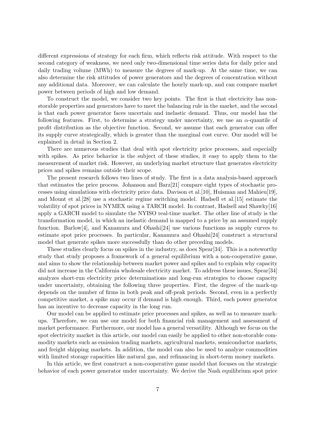different expressions of strategy for each firm, which reflects risk attitude. With respect to the second category of weakness, we need only two-dimensional time series data for daily price and daily trading volume (MWh) to measure the degrees of mark-up. At the same time, we can also determine the risk attitudes of power generators and the degrees of concentration without any additional data. Moreover, we can calculate the hourly mark-up, and can compare market power between periods of high and low demand.

To construct the model, we consider two key points. The first is that electricity has nonstorable properties and generators have to meet the balancing rule in the market, and the second is that each power generator faces uncertain and inelastic demand. Thus, our model has the following features. First, to determine a strategy under uncertainty, we use an  $\alpha$ -quantile of profit distribution as the objective function. Second, we assume that each generator can offer its supply curve strategically, which is greater than the marginal cost curve. Our model will be explained in detail in Section 2.

There are numerous studies that deal with spot electricity price processes, and especially with spikes. As price behavior is the subject of these studies, it easy to apply them to the measurement of market risk. However, an underlying market structure that generates electricity prices and spikes remains outside their scope.

The present research follows two lines of study. The first is a data analysis-based approach that estimates the price process. Johanson and Barz[21] compare eight types of stochastic processes using simulations with electricity price data. Davison et al.[10], Huisman and Mahieu[19], and Mount et al.[28] use a stochastic regime switching model. Hadsell et al.[15] estimate the volatility of spot prices in NYMEX using a TARCH model. In contrast, Hadsell and Shawky[16] apply a GARCH model to simulate the NYISO real-time market. The other line of study is the transformation model, in which an inelastic demand is mapped to a price by an assumed supply function. Barlow[4], and Kanamura and Ohashi[24] use various functions as supply curves to estimate spot price processes. In particular, Kanamura and Ohashi[24] construct a structural model that generate spikes more successfully than do other preceding models.

These studies clearly focus on spikes in the industry, as does Spear[34]. This is a noteworthy study that study proposes a framework of a general equilibrium with a non-cooperative game, and aims to show the relationship between market power and spikes and to explain why capacity did not increase in the California wholesale electricity market. To address these issues, Spear[34] analyzes short-run electricity price determinations and long-run strategies to choose capacity under uncertainty, obtaining the following three properties. First, the degree of the mark-up depends on the number of firms in both peak and off-peak periods. Second, even in a perfectly competitive market, a spike may occur if demand is high enough. Third, each power generator has an incentive to decrease capacity in the long run.

Our model can be applied to estimate price processes and spikes, as well as to measure markups. Therefore, we can use our model for both financial risk management and assessment of market performance. Furthermore, our model has a general versatility. Although we focus on the spot electricity market in this article, our model can easily be applied to other non-storable commodity markets such as emission trading markets, agricultural markets, semiconductor markets, and freight shipping markets. In addition, the model can also be used to analyze commodities with limited storage capacities like natural gas, and refinancing in short-term money markets.

In this article, we first construct a non-cooperative game model that focuses on the strategic behavior of each power generator under uncertainty. We derive the Nash equilibrium spot price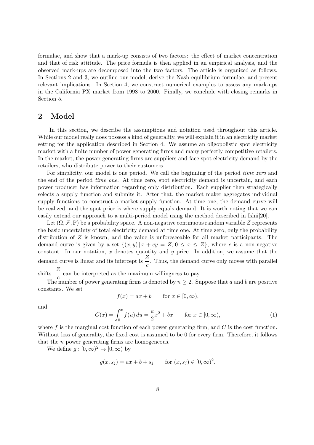formulae, and show that a mark-up consists of two factors: the effect of market concentration and that of risk attitude. The price formula is then applied in an empirical analysis, and the observed mark-ups are decomposed into the two factors. The article is organized as follows. In Sections 2 and 3, we outline our model, derive the Nash equilibrium formulae, and present relevant implications. In Section 4, we construct numerical examples to assess any mark-ups in the California PX market from 1998 to 2000. Finally, we conclude with closing remarks in Section 5.

### **2 Model**

In this section, we describe the assumptions and notation used throughout this article. While our model really does possess a kind of generality, we will explain it in an electricity market setting for the application described in Section 4. We assume an oligopolistic spot electricity market with a finite number of power generating firms and many perfectly competitive retailers. In the market, the power generating firms are suppliers and face spot electricity demand by the retailers, who distribute power to their customers.

For simplicity, our model is one period. We call the beginning of the period *time zero* and the end of the period *time one*. At time zero, spot electricity demand is uncertain, and each power producer has information regarding only distribution. Each supplier then strategically selects a supply function and submits it. After that, the market maker aggregates individual supply functions to construct a market supply function. At time one, the demand curve will be realized, and the spot price is where supply equals demand. It is worth noting that we can easily extend our approach to a multi-period model using the method described in Ishii[20].

Let  $(\Omega, \mathcal{F}, P)$  be a probability space. A non-negative continuous random variable Z represents the basic uncertainty of total electricity demand at time one. At time zero, only the probability distribution of *Z* is known, and the value is unforeseeable for all market participants. The demand curve is given by a set  $\{(x, y) | x + cy = Z, 0 \le x \le Z\}$ , where *c* is a non-negative constant. In our notation,  $x$  denotes quantity and  $y$  price. In addition, we assume that the demand curve is linear and its intercept is  $\frac{Z}{c}$ . Thus, the demand curve only moves with parallel shifts.  $\frac{Z}{c}$  can be interpreted as the maximum willingness to pay.

The number of power generating firms is denoted by  $n \geq 2$ . Suppose that *a* and *b* are positive constants. We set

$$
f(x) = ax + b \qquad \text{for } x \in [0, \infty),
$$

and

$$
C(x) = \int_0^x f(u) \, du = \frac{a}{2}x^2 + bx \qquad \text{for } x \in [0, \infty), \tag{1}
$$

where *f* is the marginal cost function of each power generating firm, and *C* is the cost function. Without loss of generality, the fixed cost is assumed to be 0 for every firm. Therefore, it follows that the *n* power generating firms are homogeneous.

We define  $g: [0, \infty)^2 \to [0, \infty)$  by

$$
g(x, s_j) = ax + b + s_j
$$
 for  $(x, s_j) \in [0, \infty)^2$ .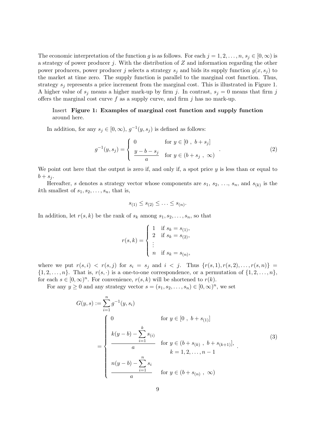The economic interpretation of the function *g* is as follows. For each  $j = 1, 2, \ldots, n, s_j \in [0, \infty)$  is a strategy of power producer *j*. With the distribution of *Z* and information regarding the other power producers, power producer *j* selects a strategy  $s_j$  and bids its supply function  $g(x, s_j)$  to the market at time zero. The supply function is parallel to the marginal cost function. Thus, strategy *s<sup>j</sup>* represents a price increment from the marginal cost. This is illustrated in Figure 1. A higher value of  $s_j$  means a higher mark-up by firm *j*. In contrast,  $s_j = 0$  means that firm *j* offers the marginal cost curve *f* as a supply curve, and firm *j* has no mark-up.

### Insert **Figure 1: Examples of marginal cost function and supply function** around here.

In addition, for any  $s_j \in [0, \infty)$ ,  $g^{-1}(y, s_j)$  is defined as follows:

$$
g^{-1}(y, s_j) = \begin{cases} 0 & \text{for } y \in [0, b + s_j] \\ \frac{y - b - s_j}{a} & \text{for } y \in (b + s_j, \infty) \end{cases}
$$
 (2)

We point out here that the output is zero if, and only if, a spot price *y* is less than or equal to  $b + s_j$ .

Hereafter, *s* denotes a strategy vector whose components are  $s_1$ ,  $s_2$ ,  $\dots$ ,  $s_n$ , and  $s_{(k)}$  is the *k*th smallest of  $s_1, s_2, \ldots, s_n$ , that is,

$$
s_{(1)} \leq s_{(2)} \leq \ldots \leq s_{(n)}.
$$

In addition, let  $r(s, k)$  be the rank of  $s_k$  among  $s_1, s_2, \ldots, s_n$ , so that

$$
r(s,k) = \begin{cases} 1 & \text{if } s_k = s_{(1)}, \\ 2 & \text{if } s_k = s_{(2)}, \\ \vdots & \\ n & \text{if } s_k = s_{(n)}, \end{cases}
$$

where we put  $r(s, i) < r(s, j)$  for  $s_i = s_j$  and  $i < j$ . Thus  $\{r(s, 1), r(s, 2), \ldots, r(s, n)\}$  $\{1, 2, \ldots, n\}$ . That is,  $r(s, \cdot)$  is a one-to-one correspondence, or a permutation of  $\{1, 2, \ldots, n\}$ , for each  $s \in [0, \infty)^n$ . For convenience,  $r(s, k)$  will be shortened to  $r(k)$ .

For any  $y \ge 0$  and any strategy vector  $s = (s_1, s_2, \ldots, s_n) \in [0, \infty)^n$ , we set

$$
G(y,s) := \sum_{i=1}^{n} g^{-1}(y,s_i)
$$
  
\n
$$
= \begin{cases}\n0 & \text{for } y \in [0, b + s_{(1)}] \\
k(y-b) - \sum_{i=1}^{k} s_{(i)} \\
a & \text{for } y \in (b + s_{(k)}, b + s_{(k+1)}], \\
k = 1, 2, ..., n - 1 \\
n(y-b) - \sum_{i=1}^{n} s_i \\
a & \text{for } y \in (b + s_{(n)}, \infty)\n\end{cases}
$$
\n(3)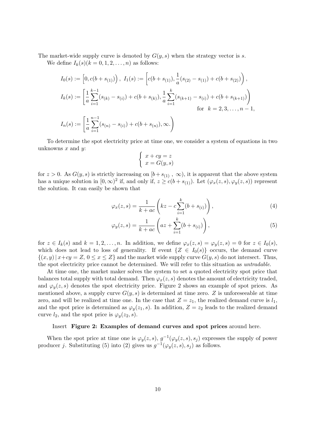The market-wide supply curve is denoted by *G*(*y, s*) when the strategy vector is *s*.

We define  $I_k(s)(k=0,1,2,\ldots,n)$  as follows:

$$
I_0(s) := [0, c(b + s_{(1)})), I_1(s) := [c(b + s_{(1)}), \frac{1}{a}(s_{(2)} - s_{(1)}) + c(b + s_{(2)})),
$$
  
\n
$$
I_k(s) := \left[\frac{1}{a} \sum_{i=1}^{k-1} (s_{(k)} - s_{(i)}) + c(b + s_{(k)}), \frac{1}{a} \sum_{i=1}^k (s_{(k+1)} - s_{(i)}) + c(b + s_{(k+1)})\right)
$$
  
\nfor  $k = 2, 3, ..., n - 1$ ,  
\n
$$
I_n(s) := \left[\frac{1}{a} \sum_{i=1}^{n-1} (s_{(n)} - s_{(i)}) + c(b + s_{(n)}), \infty.\right)
$$

To determine the spot electricity price at time one, we consider a system of equations in two unknowns *x* and *y*:

$$
\begin{cases}\nx + cy = z \\
x = G(y, s)\n\end{cases}
$$

for  $z > 0$ . As  $G(y, s)$  is strictly increasing on  $[b + s_{(1)}, \infty)$ , it is apparent that the above system has a unique solution in  $[0, \infty)^2$  if, and only if,  $z \ge c(b + s_{(1)})$ . Let  $(\varphi_x(z, s), \varphi_y(z, s))$  represent the solution. It can easily be shown that

$$
\varphi_x(z,s) = \frac{1}{k + ac} \left( kz - c \sum_{i=1}^k (b + s_{(i)}) \right),\tag{4}
$$

$$
\varphi_y(z,s) = \frac{1}{k + ac} \left( az + \sum_{i=1}^k (b + s_{(i)}) \right),\tag{5}
$$

for  $z \in I_k(s)$  and  $k = 1, 2, ..., n$ . In addition, we define  $\varphi_x(z, s) = \varphi_y(z, s) = 0$  for  $z \in I_0(s)$ , which does not lead to loss of generality. If event  $\{Z \in I_0(s)\}$  occurs, the demand curve  $\{(x, y) | x + cy = Z, 0 \le x \le Z\}$  and the market wide supply curve  $G(y, s)$  do not intersect. Thus, the spot electricity price cannot be determined. We will refer to this situation as *untradable*.

At time one, the market maker solves the system to set a quoted electricity spot price that balances total supply with total demand. Then  $\varphi_x(z, s)$  denotes the amount of electricity traded, and  $\varphi_v(z, s)$  denotes the spot electricity price. Figure 2 shows an example of spot prices. As mentioned above, a supply curve  $G(y, s)$  is determined at time zero. Z is unforeseeable at time zero, and will be realized at time one. In the case that  $Z = z_1$ , the realized demand curve is  $l_1$ , and the spot price is determined as  $\varphi_y(z_1, s)$ . In addition,  $Z = z_2$  leads to the realized demand curve  $l_2$ , and the spot price is  $\varphi_y(z_2, s)$ .

#### Insert **Figure 2: Examples of demand curves and spot prices** around here.

When the spot price at time one is  $\varphi_y(z, s)$ ,  $g^{-1}(\varphi_y(z, s), s_j)$  expresses the supply of power producer *j*. Substituting (5) into (2) gives us  $g^{-1}(\varphi_y(z,s), s_j)$  as follows.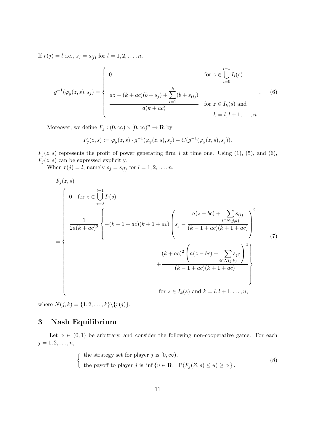If  $r(j) = l$  i.e.,  $s_j = s_{(l)}$  for  $l = 1, 2, ..., n$ ,

$$
g^{-1}(\varphi_y(z,s),s_j) = \begin{cases} 0 & \text{for } z \in \bigcup_{i=0}^{l-1} I_i(s) \\ a z - (k + ac)(b + s_j) + \sum_{i=1}^{k} (b + s_{(i)}) & \text{for } z \in I_k(s) \text{ and} \\ \frac{a(k + ac)}{a(k + ac)} & \text{for } z \in I_k(s) \text{ and} \\ k = l, l + 1, ..., n \end{cases}
$$
(6)

Moreover, we define  $F_j : (0, \infty) \times [0, \infty)^n \to \mathbb{R}$  by

$$
F_j(z,s) := \varphi_y(z,s) \cdot g^{-1}(\varphi_y(z,s),s_j) - C(g^{-1}(\varphi_y(z,s),s_j)).
$$

 $F_j(z, s)$  represents the profit of power generating firm *j* at time one. Using (1), (5), and (6),  $F_j(z,s)$  can be expressed explicitly.

When  $r(j) = l$ , namely  $s_j = s_{(l)}$  for  $l = 1, 2, ..., n$ ,

$$
F_j(z, s)
$$
\n
$$
= \begin{cases}\n0 & \text{for } z \in \bigcup_{i=0}^{l-1} I_i(s) \\
\frac{1}{2a(k+ac)^2} \begin{cases}\n\frac{1}{2a(k+ac)^2} & -(k-1+ac)(k+1+ac) \begin{pmatrix} a(z-bc) + \sum_{i \in N(j,k)} s_{(i)} \\
s_j - \frac{a(z-bc) + \sum_{i \in N(j,k)} s_{(i)}}{(k-1+ac)(k+1+ac)}\n\end{pmatrix}^2 \\
+ \frac{(k+ac)^2 \left(a(z-bc) + \sum_{i \in N(j,k)} s_{(i)}\right)^2}{(k-1+ac)(k+1+ac)} \\
\text{for } z \in I_k(s) \text{ and } k = l, l+1, ..., n,\n\end{cases}
$$

where  $N(j, k) = \{1, 2, ..., k\} \setminus \{r(j)\}.$ 

### **3 Nash Equilibrium**

Let  $\alpha \in (0,1)$  be arbitrary, and consider the following non-cooperative game. For each  $j = 1, 2, \ldots, n,$ 

$$
\begin{cases}\n\text{ the strategy set for player } j \text{ is } [0, \infty), \\
\text{ the payoff to player } j \text{ is inf } \{u \in \mathbf{R} \mid P(F_j(Z, s) \le u) \ge \alpha\}.\n\end{cases}
$$
\n(8)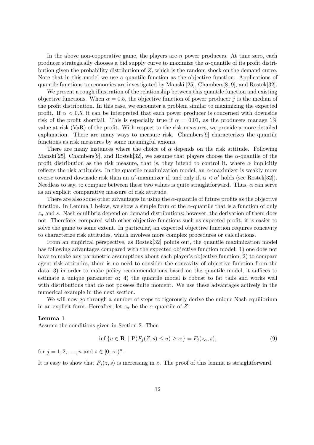In the above non-cooperative game, the players are *n* power producers. At time zero, each producer strategically chooses a bid supply curve to maximize the *α*-quantile of its profit distribution given the probability distribution of *Z*, which is the random shock on the demand curve. Note that in this model we use a quantile function as the objective function. Applications of quantile functions to economics are investigated by Manski [25], Chambers[8, 9], and Rostek[32].

We present a rough illustration of the relationship between this quantile function and existing objective functions. When  $\alpha = 0.5$ , the objective function of power producer *j* is the median of the profit distribution. In this case, we encounter a problem similar to maximizing the expected profit. If  $\alpha$  < 0.5, it can be interpreted that each power producer is concerned with downside risk of the profit shortfall. This is especially true if  $\alpha = 0.01$ , as the producers manage 1% value at risk (VaR) of the profit. With respect to the risk measures, we provide a more detailed explanation. There are many ways to measure risk. Chambers[9] characterizes the quantile functions as risk measures by some meaningful axioms.

There are many instances where the choice of  $\alpha$  depends on the risk attitude. Following Manski<sup>[25]</sup>, Chambers<sup>[9]</sup>, and Rostek<sup>[32]</sup>, we assume that players choose the  $\alpha$ -quantile of the profit distribution as the risk measure, that is, they intend to control it, where  $\alpha$  implicitly reflects the risk attitudes. In the quantile maximization model, an *α*-maximizer is weakly more averse toward downside risk than an  $\alpha'$ -maximizer if, and only if,  $\alpha < \alpha'$  holds (see Rostek[32]). Needless to say, to compare between these two values is quite straightforward. Thus,  $\alpha$  can serve as an explicit comparative measure of risk attitude.

There are also some other advantages in using the  $\alpha$ -quantile of future profits as the objective function. In Lemma 1 below, we show a simple form of the *α*-quantile that is a function of only  $z_\alpha$  and *s*. Nash equilibria depend on demand distributions; however, the derivation of them does not. Therefore, compared with other objective functions such as expected profit, it is easier to solve the game to some extent. In particular, an expected objective function requires concavity to characterize risk attitudes, which involves more complex procedures or calculations.

From an empirical perspective, as Rostek[32] points out, the quantile maximization model has following advantages compared with the expected objective function model: 1) one does not have to make any parametric assumptions about each player's objective function; 2) to compare agent risk attitudes, there is no need to consider the concavity of objective function from the data; 3) in order to make policy recommendations based on the quantile model, it suffices to estimate a unique parameter  $\alpha$ ; 4) the quantile model is robust to fat tails and works well with distributions that do not possess finite moment. We use these advantages actively in the numerical example in the next section.

We will now go through a number of steps to rigorously derive the unique Nash equilibrium in an explicit form. Hereafter, let  $z_\alpha$  be the  $\alpha$ -quantile of  $Z$ .

#### **Lemma 1**

Assume the conditions given in Section 2. Then

$$
\inf \{ u \in \mathbf{R} \mid P(F_j(Z, s) \le u) \ge \alpha \} = F_j(z_\alpha, s),\tag{9}
$$

for  $j = 1, 2, ..., n$  and  $s \in [0, \infty)^n$ .

It is easy to show that  $F_i(z, s)$  is increasing in *z*. The proof of this lemma is straightforward.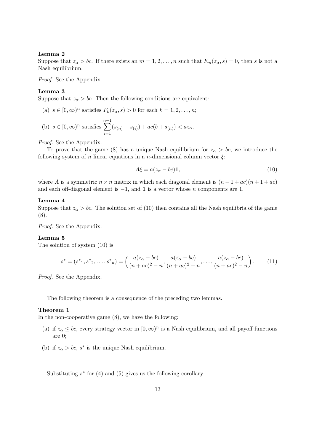#### **Lemma 2**

Suppose that  $z_{\alpha} > bc$ . If there exists an  $m = 1, 2, \ldots, n$  such that  $F_m(z_{\alpha}, s) = 0$ , then *s* is not a Nash equilibrium.

*Proof.* See the Appendix.

#### **Lemma 3**

Suppose that  $z_\alpha > bc$ . Then the following conditions are equivalent:

(a)  $s \in [0, \infty)^n$  satisfies  $F_k(z_\alpha, s) > 0$  for each  $k = 1, 2, ..., n$ ; (b)  $s \in [0, \infty)^n$  satisfies *n*∑*−*1  $(s_{(n)} - s_{(i)}) + ac(b + s_{(n)}) < az_{\alpha}$ .

*i*=1

*Proof.* See the Appendix.

To prove that the game (8) has a unique Nash equilibrium for  $z_{\alpha} > bc$ , we introduce the following system of *n* linear equations in a *n*-dimensional column vector  $\xi$ :

$$
A\xi = a(z_{\alpha} - bc)\mathbf{1},\tag{10}
$$

where *A* is a symmetric  $n \times n$  matrix in which each diagonal element is  $(n-1+ac)(n+1+ac)$ and each off-diagonal element is *−*1, and **1** is a vector whose *n* components are 1.

#### **Lemma 4**

Suppose that  $z_{\alpha} > bc$ . The solution set of (10) then contains all the Nash equilibria of the game (8).

*Proof.* See the Appendix.

#### **Lemma 5**

The solution of system (10) is

$$
s^* = (s^*_{1}, s^*_{2}, \dots, s^*_{n}) = \left(\frac{a(z_{\alpha} - bc)}{(n + ac)^2 - n}, \frac{a(z_{\alpha} - bc)}{(n + ac)^2 - n}, \dots, \frac{a(z_{\alpha} - bc)}{(n + ac)^2 - n}\right). \tag{11}
$$

*Proof.* See the Appendix.

The following theorem is a consequence of the preceding two lemmas.

#### **Theorem 1**

In the non-cooperative game (8), we have the following:

- (a) if  $z_{\alpha} \le bc$ , every strategy vector in  $[0, \infty)^n$  is a Nash equilibrium, and all payoff functions are 0;
- (b) if  $z_{\alpha} > bc$ ,  $s^*$  is the unique Nash equilibrium.

Substituting *s ∗* for (4) and (5) gives us the following corollary.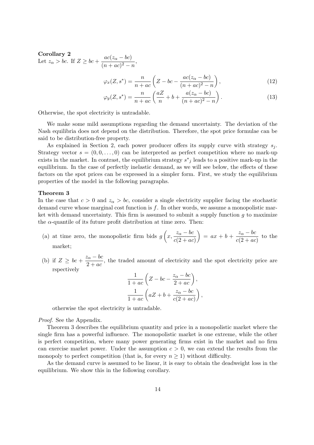#### **Corollary 2** Let  $z_\alpha > bc$ . If  $Z \ge bc + \frac{ac(z_\alpha - bc)}{(a + c)^2}$  $\frac{ac(\alpha a - ac)}{(n + ac)^2 - n}$

$$
\varphi_x(Z, s^*) = \frac{n}{n + ac} \left( Z - bc - \frac{ac(z_\alpha - bc)}{(n + ac)^2 - n} \right),\tag{12}
$$

$$
\varphi_y(Z, s^*) = \frac{n}{n + ac} \left( \frac{aZ}{n} + b + \frac{a(z_\alpha - bc)}{(n + ac)^2 - n} \right). \tag{13}
$$

Otherwise, the spot electricity is untradable.

We make some mild assumptions regarding the demand uncertainty. The deviation of the Nash equilibria does not depend on the distribution. Therefore, the spot price formulae can be said to be distribution-free property.

As explained in Section 2, each power producer offers its supply curve with strategy *s<sup>j</sup>* . Strategy vector  $s = (0, 0, \ldots, 0)$  can be interpreted as perfect competition where no mark-up exists in the market. In contrast, the equilibrium strategy  $s^*_{j}$  leads to a positive mark-up in the equilibrium. In the case of perfectly inelastic demand, as we will see below, the effects of these factors on the spot prices can be expressed in a simpler form. First, we study the equilibrium properties of the model in the following paragraphs.

#### **Theorem 3**

In the case that  $c > 0$  and  $z<sub>\alpha</sub> > bc$ , consider a single electricity supplier facing the stochastic demand curve whose marginal cost function is *f*. In other words, we assume a monopolistic market with demand uncertainty. This firm is assumed to submit a supply function *g* to maximize the  $\alpha$ -quantile of its future profit distribution at time zero. Then:

- (a) at time zero, the monopolistic firm bids  $g\left(x, \frac{z_{\alpha} bc}{\sqrt{a}}\right)$  $c(2 + ac)$  $= ax + b + \frac{z_\alpha - bc}{\alpha}$  $\frac{a}{c(2+ac)}$  to the market;
- (b) if  $Z \geq bc + \frac{z_\alpha bc}{2}$  $\frac{a}{2 + ac}$ , the traded amount of electricity and the spot electricity price are rspectively

$$
\frac{1}{1+ac} \left( Z - bc - \frac{z_{\alpha} - bc}{2+ac} \right),
$$
  

$$
\frac{1}{1+ac} \left( aZ + b + \frac{z_{\alpha} - bc}{c(2+ac)} \right),
$$

otherwise the spot electricity is untradable.

*Proof.* See the Appendix.

Theorem 3 describes the equilibrium quantity and price in a monopolistic market where the single firm has a powerful influence. The monopolistic market is one extreme, while the other is perfect competition, where many power generating firms exist in the market and no firm can exercise market power. Under the assumption  $c > 0$ , we can extend the results from the monopoly to perfect competition (that is, for every  $n \geq 1$ ) without difficulty.

As the demand curve is assumed to be linear, it is easy to obtain the deadweight loss in the equilibrium. We show this in the following corollary.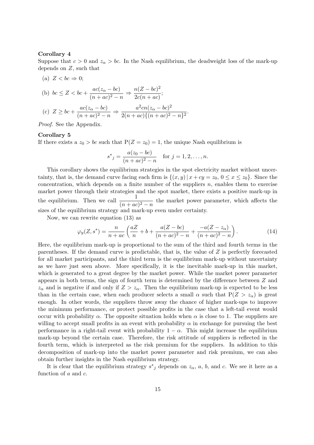#### **Corollary 4**

Suppose that  $c > 0$  and  $z_\alpha > bc$ . In the Nash equilibrium, the deadweight loss of the mark-up depends on *Z*, such that

(a) 
$$
Z < bc \Rightarrow 0;
$$

(b) 
$$
bc \le Z < bc + \frac{ac(z_{\alpha} - bc)}{(n + ac)^2 - n} \Rightarrow \frac{n(Z - bc)^2}{2c(n + ac)};
$$
  
(c)  $Z \ge bc + \frac{ac(z_{\alpha} - bc)}{(n + ac)^2 - n} \Rightarrow \frac{a^2cn(z_{\alpha} - bc)^2}{2(n + ac)\{(n + ac)^2 - n\}^2}.$ 

*Proof.* See the Appendix.

#### **Corollary 5**

If there exists a  $z_0 > bc$  such that  $P(Z = z_0) = 1$ , the unique Nash equilibrium is

$$
s^*_{j} = \frac{a(z_0 - bc)}{(n + ac)^2 - n} \quad \text{for } j = 1, 2, \dots, n.
$$

This corollary shows the equilibrium strategies in the spot electricity market without uncertainty, that is, the demand curve facing each firm is  $\{(x, y) | x + cy = z_0, 0 \le x \le z_0\}$ . Since the concentration, which depends on a finite number of the suppliers *n*, enables them to exercise market power through their strategies and the spot market, there exists a positive mark-up in the equilibrium. Then we call  $\frac{1}{(n+ac)^2 - n}$  the market power parameter, which affects the sizes of the equilibrium strategy and mark-up even under certainty.

Now, we can rewrite equation (13) as

$$
\varphi_y(Z, s^*) = \frac{n}{n + ac} \left( \frac{aZ}{n} + b + \frac{a(Z - bc)}{(n + ac)^2 - n} + \frac{-a(Z - z_\alpha)}{(n + ac)^2 - n} \right). \tag{14}
$$

Here, the equilibrium mark-up is proportional to the sum of the third and fourth terms in the parentheses. If the demand curve is predictable, that is, the value of *Z* is perfectly forecasted for all market participants, and the third term is the equilibrium mark-up without uncertainty as we have just seen above. More specifically, it is the inevitable mark-up in this market, which is generated to a great degree by the market power. While the market power parameter appears in both terms, the sign of fourth term is determined by the difference between *Z* and  $z_{\alpha}$  and is negative if and only if  $Z > z_{\alpha}$ . Then the equilibrium mark-up is expected to be less than in the certain case, when each producer selects a small  $\alpha$  such that  $P(Z > z_\alpha)$  is great enough. In other words, the suppliers throw away the chance of higher mark-ups to improve the minimum performance, or protect possible profits in the case that a left-tail event would occur with probability  $\alpha$ . The opposite situation holds when  $\alpha$  is close to 1. The suppliers are willing to accept small profits in an event with probability  $\alpha$  in exchange for pursuing the best performance in a right-tail event with probability  $1 - \alpha$ . This might increase the equilibrium mark-up beyond the certain case. Therefore, the risk attitude of suppliers is reflected in the fourth term, which is interpreted as the risk premium for the suppliers. In addition to this decomposition of mark-up into the market power parameter and risk premium, we can also obtain further insights in the Nash equilibrium strategy.

It is clear that the equilibrium strategy  $s^*$ <sub>j</sub> depends on  $z_{\alpha}$ ,  $a$ ,  $b$ , and  $c$ . We see it here as a function of *a* and *c*.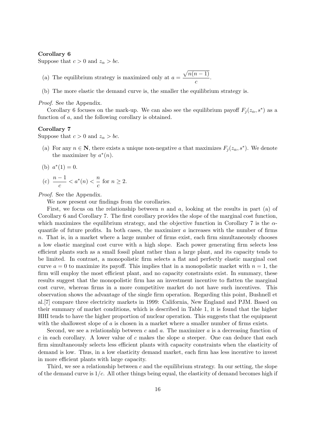#### **Corollary 6**

Suppose that  $c > 0$  and  $z_\alpha > bc$ .

- (a) The equilibrium strategy is maximized only at  $a = \frac{\sqrt{n(n-1)}}{n}$  $\frac{c}{c}$ .
- (b) The more elastic the demand curve is, the smaller the equilibrium strategy is.

*Proof.* See the Appendix.

Corollary 6 focuses on the mark-up. We can also see the equilibrium payoff  $F_j(z_\alpha, s^*)$  as a function of *a*, and the following corollary is obtained.

#### **Corollary 7**

Suppose that  $c > 0$  and  $z_\alpha > bc$ .

- (a) For any  $n \in \mathbb{N}$ , there exists a unique non-negative *a* that maximizes  $F_j(z_\alpha, s^*)$ . We denote the maximizer by  $a^*(n)$ .
- (b)  $a^*(1) = 0$ .

(c) 
$$
\frac{n-1}{c} < a^*(n) < \frac{n}{c}
$$
 for  $n \ge 2$ .

*Proof.* See the Appendix.

We now present our findings from the corollaries.

First, we focus on the relationship between *n* and *a*, looking at the results in part (a) of Corollary 6 and Corollary 7. The first corollary provides the slope of the marginal cost function, which maximizes the equilibrium strategy, and the objective function in Corollary 7 is the *α*quantile of future profits. In both cases, the maximizer *a* increases with the number of firms *n*. That is, in a market where a large number of firms exist, each firm simultaneously chooses a low elastic marginal cost curve with a high slope. Each power generating firm selects less efficient plants such as a small fossil plant rather than a large plant, and its capacity tends to be limited. In contrast, a monopolistic firm selects a flat and perfectly elastic marginal cost curve  $a = 0$  to maximize its payoff. This implies that in a monopolistic market with  $n = 1$ , the firm will employ the most efficient plant, and no capacity constraints exist. In summary, these results suggest that the monopolistic firm has an investment incentive to flatten the marginal cost curve, whereas firms in a more competitive market do not have such incentives. This observation shows the advantage of the single firm operation. Regarding this point, Bushnell et al.[7] compare three electricity markets in 1999: California, New England and PJM. Based on their summary of market conditions, which is described in Table 1, it is found that the higher HHI tends to have the higher proportion of nuclear operation. This suggests that the equipment with the shallowest slope of *a* is chosen in a market where a smaller number of firms exists.

Second, we see a relationship between *c* and *a*. The maximizer *a* is a decreasing function of *c* in each corollary. A lower value of *c* makes the slope *a* steeper. One can deduce that each firm simultaneously selects less efficient plants with capacity constraints when the elasticity of demand is low. Thus, in a low elasticity demand market, each firm has less incentive to invest in more efficient plants with large capacity.

Third, we see a relationship between *c* and the equilibrium strategy. In our setting, the slope of the demand curve is 1*/c*. All other things being equal, the elasticity of demand becomes high if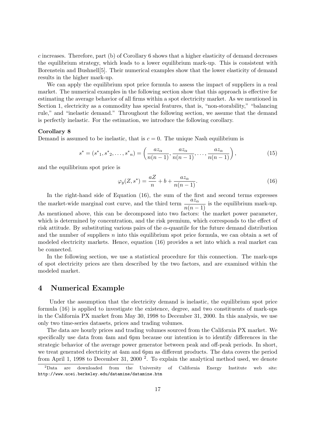*c* increases. Therefore, part (b) of Corollary 6 shows that a higher elasticity of demand decreases the equilibrium strategy, which leads to a lower equilibrium mark-up. This is consistent with Borenstein and Bushnell[5]. Their numerical examples show that the lower elasticity of demand results in the higher mark-up.

We can apply the equilibrium spot price formula to assess the impact of suppliers in a real market. The numerical examples in the following section show that this approach is effective for estimating the average behavior of all firms within a spot electricity market. As we mentioned in Section 1, electricity as a commodity has special features, that is, "non-storability," "balancing rule," and "inelastic demand." Throughout the following section, we assume that the demand is perfectly inelastic. For the estimation, we introduce the following corollary.

#### **Corollary 8**

Demand is assumed to be inelastic, that is  $c = 0$ . The unique Nash equilibrium is

$$
s^* = (s^*_{1}, s^*_{2}, \dots, s^*_{n}) = \left(\frac{az_{\alpha}}{n(n-1)}, \frac{az_{\alpha}}{n(n-1)}, \dots, \frac{az_{\alpha}}{n(n-1)}\right),
$$
(15)

and the equilibrium spot price is

$$
\varphi_y(Z, s^*) = \frac{aZ}{n} + b + \frac{az_\alpha}{n(n-1)}.\tag{16}
$$

In the right-hand side of Equation (16), the sum of the first and second terms expresses the market-wide marginal cost curve, and the third term  $\frac{az_\alpha}{n(n-1)}$  is the equilibrium mark-up.

As mentioned above, this can be decomposed into two factors: the market power parameter, which is determined by concentration, and the risk premium, which corresponds to the effect of risk attitude. By substituting various pairs of the  $\alpha$ -quantile for the future demand distribution and the number of suppliers *n* into this equilibrium spot price formula, we can obtain a set of modeled electricity markets. Hence, equation (16) provides a set into which a real market can be connected.

In the following section, we use a statistical procedure for this connection. The mark-ups of spot electricity prices are then described by the two factors, and are examined within the modeled market.

### **4 Numerical Example**

Under the assumption that the electricity demand is inelastic, the equilibrium spot price formula (16) is applied to investigate the existence, degree, and two constituents of mark-ups in the California PX market from May 30, 1998 to December 31, 2000. In this analysis, we use only two time-series datasets, prices and trading volumes.

The data are hourly prices and trading volumes sourced from the California PX market. We specifically use data from 4am and 6pm because our intention is to identify differences in the strategic behavior of the average power generator between peak and off-peak periods. In short, we treat generated electricity at 4am and 6pm as different products. The data covers the period from April 1, 1998 to December 31, 2000<sup>2</sup>. To explain the analytical method used, we denote

<sup>2</sup>Data are downloaded from the University of California Energy Institute web site: http://www.ucei.berkeley.edu/datamine/datamine.htm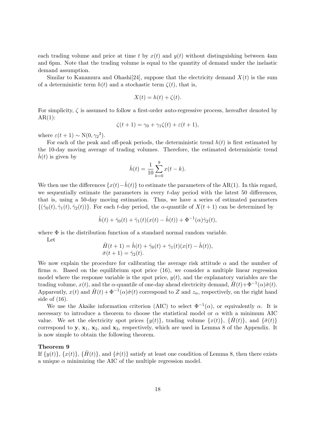each trading volume and price at time *t* by  $x(t)$  and  $y(t)$  without distinguishing between 4am and 6pm. Note that the trading volume is equal to the quantity of demand under the inelastic demand assumption.

Similar to Kanamura and Ohashi<sup>[24]</sup>, suppose that the electricity demand  $X(t)$  is the sum of a deterministic term  $h(t)$  and a stochastic term  $\zeta(t)$ , that is,

$$
X(t) = h(t) + \zeta(t).
$$

For simplicity, *ζ* is assumed to follow a first-order auto-regressive process, hereafter denoted by  $AR(1)$ :

$$
\zeta(t+1) = \gamma_0 + \gamma_1 \zeta(t) + \varepsilon(t+1),
$$

where  $\varepsilon(t+1) \sim N(0, \gamma_2^2)$ .

For each of the peak and off-peak periods, the deterministic trend *h*(*t*) is first estimated by the 10-day moving average of trading volumes. Therefore, the estimated deterministic trend  $h(t)$  is given by

$$
\hat{h}(t) = \frac{1}{10} \sum_{k=0}^{9} x(t - k).
$$

We then use the differences  $\{x(t) - \hat{h}(t)\}$  to estimate the parameters of the AR(1). In this regard, we sequentially estimate the parameters in every *t*-day period with the latest 50 differences, that is, using a 50-day moving estimation. Thus, we have a series of estimated parameters  $\{\hat{\gamma}_0(t), \hat{\gamma}_1(t), \hat{\gamma}_2(t)\}$ . For each *t*-day period, the *α*-quantile of  $X(t+1)$  can be determined by

$$
\hat{h}(t) + \hat{\gamma}_0(t) + \hat{\gamma}_1(t)(x(t) - \hat{h}(t)) + \Phi^{-1}(\alpha)\hat{\gamma}_2(t),
$$

where  $\Phi$  is the distribution function of a standard normal random variable.

Let

$$
\hat{H}(t+1) = \hat{h}(t) + \hat{\gamma}_0(t) + \hat{\gamma}_1(t)(x(t) - \hat{h}(t)), \n\hat{\sigma}(t+1) = \hat{\gamma}_2(t).
$$

We now explain the procedure for calibrating the average risk attitude  $\alpha$  and the number of firms *n*. Based on the equilibrium spot price (16), we consider a multiple linear regression model where the response variable is the spot price, *y*(*t*), and the explanatory variables are the trading volume,  $x(t)$ , and the  $\alpha$ -quantile of one-day ahead electricity demand,  $\hat{H}(t) + \Phi^{-1}(\alpha)\hat{\sigma}(t)$ . Apparently,  $x(t)$  and  $\hat{H}(t) + \Phi^{-1}(\alpha)\hat{\sigma}(t)$  correspond to *Z* and  $z_{\alpha}$ , respectively, on the right hand side of (16).

We use the Akaike information criterion (AIC) to select  $\Phi^{-1}(\alpha)$ , or equivalently  $\alpha$ . It is necessary to introduce a theorem to choose the statistical model or  $\alpha$  with a minimum AIC value. We set the electricity spot prices  $\{y(t)\}\$ , trading volume  $\{x(t)\}\$ ,  $\{\hat{H}(t)\}\$ , and  $\{\hat{\sigma}(t)\}\$ correspond to **y**, **x**1, **x**2, and **x**3, respectively, which are used in Lemma 8 of the Appendix. It is now simple to obtain the following theorem.

#### **Theorem 9**

If  $\{y(t)\}\$ ,  $\{x(t)\}\$ ,  $\{H(t)\}\$ , and  $\{\hat{\sigma}(t)\}\$  satisfy at least one condition of Lemma 8, then there exists a unique  $\alpha$  minimizing the AIC of the multiple regression model.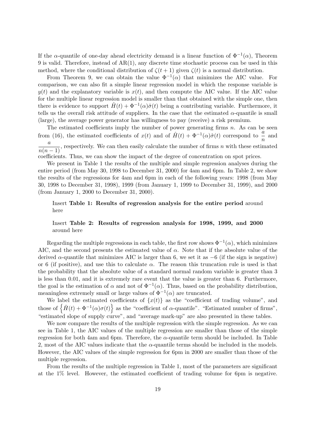If the *α*-quantile of one-day ahead electricity demand is a linear function of  $\Phi^{-1}(\alpha)$ , Theorem 9 is valid. Therefore, instead of AR(1), any discrete time stochastic process can be used in this method, where the conditional distribution of  $\zeta(t+1)$  given  $\zeta(t)$  is a normal distribution.

From Theorem 9, we can obtain the value  $\Phi^{-1}(\alpha)$  that minimizes the AIC value. For comparison, we can also fit a simple linear regression model in which the response variable is  $y(t)$  and the explanatory variable is  $x(t)$ , and then compute the AIC value. If the AIC value for the multiple linear regression model is smaller than that obtained with the simple one, then there is evidence to support  $\hat{H}(t) + \Phi^{-1}(\alpha)\hat{\sigma}(t)$  being a contributing variable. Furthermore, it tells us the overall risk attitude of suppliers. In the case that the estimated  $\alpha$ -quantile is small (large), the average power generator has willingness to pay (receive) a risk premium.

The estimated coefficients imply the number of power generating firms *n*. As can be seen from (16), the estimated coefficients of  $x(t)$  and of  $\hat{H}(t) + \Phi^{-1}(\alpha)\hat{\sigma}(t)$  correspond to  $\alpha$  and  $\frac{a}{n(n-1)}$ , respectively. We can then easily calculate the number of firms *n* with these estimated  $\frac{a}{n(n-1)}$ . coefficients. Thus, we can show the impact of the degree of concentration on spot prices.

We present in Table 1 the results of the multiple and simple regression analyses during the entire period (from May 30, 1998 to December 31, 2000) for 4am and 6pm. In Table 2, we show the results of the regressions for 4am and 6pm in each of the following years: 1998 (from May 30, 1998 to December 31, 1998), 1999 (from January 1, 1999 to December 31, 1999), and 2000 (from January 1, 2000 to December 31, 2000).

#### Insert **Table 1: Results of regression analysis for the entire period** around here

### Insert **Table 2: Results of regression analysis for 1998, 1999, and 2000** around here

Regarding the multiple regressions in each table, the first row shows  $\Phi^{-1}(\alpha)$ , which minimizes AIC, and the second presents the estimated value of  $\alpha$ . Note that if the absolute value of the derived *α*-quantile that minimizes AIC is larger than 6, we set it as *−*6 (if the sign is negative) or 6 (if positive), and use this to calculate  $\alpha$ . The reason this truncation rule is used is that the probability that the absolute value of a standard normal random variable is greater than 3 is less than 0*.*01, and it is extremely rare event that the value is greater than 6. Furthermore, the goal is the estimation of  $\alpha$  and not of  $\Phi^{-1}(\alpha)$ . Thus, based on the probability distribution, meaningless extremely small or large values of  $\Phi^{-1}(\alpha)$  are truncated.

We label the estimated coefficients of  $\{x(t)\}\$ as the "coefficient of trading volume", and those of  $\{\hat{H}(t) + \Phi^{-1}(\alpha)\sigma(t)\}\$ as the "coefficient of *α*-quantile". "Estimated number of firms", "estimated slope of supply curve", and "average mark-up" are also presented in these tables.

We now compare the results of the multiple regression with the simple regression. As we can see in Table 1, the AIC values of the multiple regression are smaller than those of the simple regression for both 4am and 6pm. Therefore, the *α*-quantile term should be included. In Table 2, most of the AIC values indicate that the *α*-quantile terms should be included in the models. However, the AIC values of the simple regression for 6pm in 2000 are smaller than those of the multiple regression.

From the results of the multiple regression in Table 1, most of the parameters are significant at the 1% level. However, the estimated coefficient of trading volume for 6pm is negative.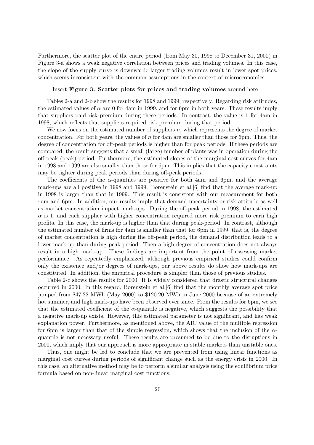Furthermore, the scatter plot of the entire period (from May 30, 1998 to December 31, 2000) in Figure 3-a shows a weak negative correlation between prices and trading volumes. In this case, the slope of the supply curve is downward: larger trading volumes result in lower spot prices, which seems inconsistent with the common assumptions in the context of microeconomics.

#### Insert **Figure 3: Scatter plots for prices and trading volumes** around here

Tables 2-a and 2-b show the results for 1998 and 1999, respectively. Regarding risk attitudes, the estimated values of  $\alpha$  are 0 for 4am in 1999, and for 6pm in both years. These results imply that suppliers paid risk premium during these periods. In contrast, the value is 1 for 4am in 1998, which reflects that suppliers required risk premium during that period.

We now focus on the estimated number of suppliers *n*, which represents the degree of market concentration. For both years, the values of *n* for 4am are smaller than those for 6pm. Thus, the degree of concentration for off-peak periods is higher than for peak periods. If these periods are compared, the result suggests that a small (large) number of plants was in operation during the off-peak (peak) period. Furthermore, the estimated slopes of the marginal cost curves for 4am in 1998 and 1999 are also smaller than those for 6pm. This implies that the capacity constraints may be tighter during peak periods than during off-peak periods.

The coefficients of the  $\alpha$ -quantiles are positive for both 4am and 6pm, and the average mark-ups are all positive in 1998 and 1999. Borenstein et al.[6] find that the average mark-up in 1998 is larger than that in 1999. This result is consistent with our measurement for both 4am and 6pm. In addition, our results imply that demand uncertainty or risk attitude as well as market concentration impact mark-ups. During the off-peak period in 1998, the estimated  $\alpha$  is 1, and each supplier with higher concentration required more risk premium to earn high profits. In this case, the mark-up is higher than that during peak-period. In contrast, although the estimated number of firms for 4am is smaller than that for 6pm in 1999, that is, the degree of market concentration is high during the off-peak period, the demand distribution leads to a lower mark-up than during peak-period. Then a high degree of concentration does not always result in a high mark-up. These findings are important from the point of assessing market performance. As repeatedly emphasized, although previous empirical studies could confirm only the existence and/or degrees of mark-ups, our above results do show how mark-ups are constituted. In addition, the empirical procedure is simpler than those of previous studies.

Table 2-c shows the results for 2000. It is widely considered that drastic structural changes occurred in 2000. In this regard, Borenstein et al.[6] find that the monthly average spot price jumped from \$47.22 MWh (May 2000) to \$120.20 MWh in June 2000 because of an extremely hot summer, and high mark-ups have been observed ever since. From the results for 6pm, we see that the estimated coefficient of the  $\alpha$ -quantile is negative, which suggests the possibility that a negative mark-up exists. However, this estimated parameter is not significant, and has weak explanation power. Furthermore, as mentioned above, the AIC value of the multiple regression for 6pm is larger than that of the simple regression, which shows that the inclusion of the *α*quantile is not necessary useful. These results are presumed to be due to the disruptions in 2000, which imply that our approach is more appropriate in stable markets than unstable ones.

Thus, one might be led to conclude that we are prevented from using linear functions as marginal cost curves during periods of significant change such as the energy crisis in 2000. In this case, an alternative method may be to perform a similar analysis using the equilibrium price formula based on non-linear marginal cost functions.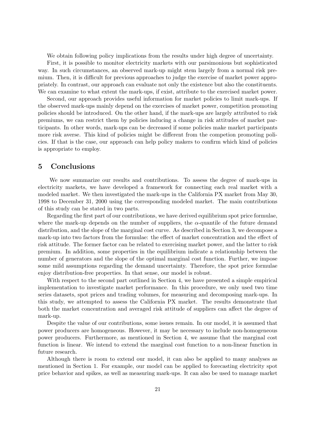We obtain following policy implications from the results under high degree of uncertainty.

First, it is possible to monitor electricity markets with our parsimonious but sophisticated way. In such circumstances, an observed mark-up might stem largely from a normal risk premium. Then, it is difficult for previous approaches to judge the exercise of market power appropriately. In contrast, our approach can evaluate not only the existence but also the constituents. We can examine to what extent the mark-ups, if exist, attribute to the exercised market power.

Second, our approach provides useful information for market policies to limit mark-ups. If the observed mark-ups mainly depend on the exercises of market power, competition promoting policies should be introduced. On the other hand, if the mark-ups are largely attributed to risk premiums, we can restrict them by policies inducing a change in risk attitudes of market participants. In other words, mark-ups can be decreased if some policies make market participants more risk averse. This kind of policies might be different from the competion promoting policies. If that is the case, our approach can help policy makers to confirm which kind of policies is appropriate to employ.

### **5 Conclusions**

We now summarize our results and contributions. To assess the degree of mark-ups in electricity markets, we have developed a framework for connecting each real market with a modeled market. We then investigated the mark-ups in the California PX market from May 30, 1998 to December 31, 2000 using the corresponding modeled market. The main contributions of this study can be stated in two parts.

Regarding the first part of our contributions, we have derived equilibrium spot price formulae, where the mark-up depends on the number of suppliers, the  $\alpha$ -quantile of the future demand distribution, and the slope of the marginal cost curve. As described in Section 3, we decompose a mark-up into two factors from the formulae: the effect of market concentration and the effect of risk attitude. The former factor can be related to exercising market power, and the latter to risk premium. In addition, some properties in the equilibrium indicate a relationship between the number of generators and the slope of the optimal marginal cost function. Further, we impose some mild assumptions regarding the demand uncertainty. Therefore, the spot price formulae enjoy distribution-free properties. In that sense, our model is robust.

With respect to the second part outlined in Section 4, we have presented a simple empirical implementation to investigate market performance. In this procedure, we only used two time series datasets, spot prices and trading volumes, for measuring and decomposing mark-ups. In this study, we attempted to assess the California PX market. The results demonstrate that both the market concentration and averaged risk attitude of suppliers can affect the degree of mark-up.

Despite the value of our contributions, some issues remain. In our model, it is assumed that power producers are homogeneous. However, it may be necessary to include non-homogeneous power producers. Furthermore, as mentioned in Section 4, we assume that the marginal cost function is linear. We intend to extend the marginal cost function to a non-linear function in future research.

Although there is room to extend our model, it can also be applied to many analyses as mentioned in Section 1. For example, our model can be applied to forecasting electricity spot price behavior and spikes, as well as measuring mark-ups. It can also be used to manage market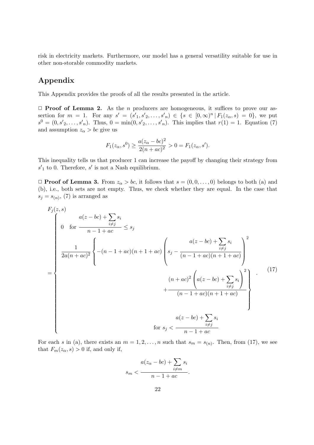risk in electricity markets. Furthermore, our model has a general versatility suitable for use in other non-storable commodity markets.

### **Appendix**

This Appendix provides the proofs of all the results presented in the article.

*✷* **Proof of Lemma 2.** As the *n* producers are homogeneous, it suffices to prove our assertion for  $m = 1$ . For any  $s' = (s'_1, s'_2, \ldots, s'_n) \in \{s \in [0, \infty)^n | F_1(z_\alpha, s) = 0\}$ , we put  $s^0 = (0, s'_{2}, \ldots, s'_{n})$ . Thus,  $0 = \min(0, s'_{2}, \ldots, s'_{n})$ . This implies that  $r(1) = 1$ . Equation (7) and assumption  $z_{\alpha} > bc$  give us

$$
F_1(z_{\alpha}, s^0) \ge \frac{a(z_{\alpha} - bc)^2}{2(n + ac)^2} > 0 = F_1(z_{\alpha}, s').
$$

This inequality tells us that producer 1 can increase the payoff by changing their strategy from *s ′* <sup>1</sup> to 0. Therefore, *s ′* is not a Nash equilibrium.

 $\Box$  **Proof of Lemma 3.** From  $z_{\alpha} > bc$ , it follows that  $s = (0, 0, \ldots, 0)$  belongs to both (a) and (b), i.e., both sets are not empty. Thus, we check whether they are equal. In the case that  $s_j = s_{(n)}$ , (7) is arranged as

$$
F_{j}(z, s)
$$
\n
$$
= \begin{cases}\n0 & \text{for } \frac{a(z - bc) + \sum_{i \neq j} s_{i}}{n - 1 + ac} \leq s_{j} \\
\frac{1}{2a(n + ac)^{2}} \left\{- (n - 1 + ac)(n + 1 + ac) \left(s_{j} - \frac{a(z - bc) + \sum_{i \neq j} s_{i}}{(n - 1 + ac)(n + 1 + ac)}\right)^{2} + \frac{(n + ac)^{2} \left(a(z - bc) + \sum_{i \neq j} s_{i}\right)^{2}}{(n - 1 + ac)(n + 1 + ac)} + \frac{(n - 1 + ac)(n + 1 + ac)}{(n - 1 + ac)(n + 1 + ac)}\right\} \\
& \text{for } s_{j} < \frac{a(z - bc) + \sum_{i \neq j} s_{i}}{n - 1 + ac}\n\end{cases}
$$
\n(17)

For each *s* in (a), there exists an  $m = 1, 2, \ldots, n$  such that  $s_m = s_{(n)}$ . Then, from (17), we see that  $F_m(z_\alpha, s) > 0$  if, and only if,

$$
s_m < \frac{a(z_\alpha - bc) + \sum_{i \neq m} s_i}{n - 1 + ac}.
$$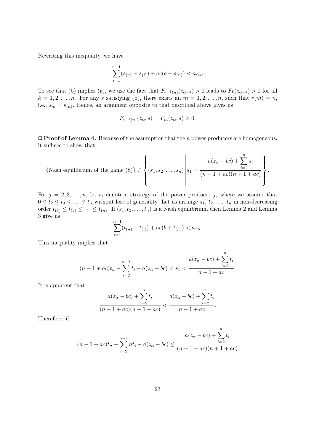Rewriting this inequality, we have

$$
\sum_{i=1}^{n-1} (s_{(n)} - s_{(i)}) + ac(b + s_{(n)}) < az_{\alpha}.
$$

To see that (b) implies (a), we use the fact that  $F_{r^{-1}(n)}(z_\alpha, s) > 0$  leads to  $F_k(z_\alpha, s) > 0$  for all  $k = 1, 2, \ldots, n$ . For any *s* satisfying (b), there exists an  $m = 1, 2, \ldots, n$ , such that  $r(m) = n$ , i.e.,  $s_m = s_{(n)}$ . Hence, an argument opposite to that described above gives us

$$
F_{r^{-1}(n)}(z_{\alpha}, s) = F_m(z_{\alpha}, s) > 0.
$$

*✷* **Proof of Lemma 4.** Because of the assumption that the *n* power producers are homogeneous, it suffices to show that

{Nash equilibrium of the game (8)} 
$$
\subset \left\{ (s_1, s_2, \ldots, s_n) \middle| s_1 = \frac{a(z_\alpha - bc) + \sum_{i=2}^n s_i}{(n-1+ac)(n+1+ac)} \right\}.
$$

For  $j = 2, 3, \ldots, n$ , let  $t_j$  denote a strategy of the power producer *j*, where we assume that  $0 \le t_2 \le t_3 \le \ldots \le t_n$  without loss of generality. Let us arrange  $s_1, t_2, \ldots, t_n$  in non-decreasing order  $t_{(1)} \leq t_{(2)} \leq \cdots \leq t_{(n)}$ . If  $(s_1, t_2, \ldots, t_n)$  is a Nash equilibrium, then Lemma 2 and Lemma 3 give us

$$
\sum_{i=1}^{n-1} (t_{(n)} - t_{(i)}) + ac(b + t_{(n)}) < az_\alpha.
$$

This inequality implies that

$$
(n-1+ac)t_n-\sum_{i=2}^{n-1}t_i-a(z_{\alpha}-bc)
$$

It is apparent that

$$
\frac{a(z_{\alpha} - bc) + \sum_{i=2}^{n} t_i}{(n - 1 + ac)(n + 1 + ac)} < \frac{a(z_{\alpha} - bc) + \sum_{i=2}^{n} t_i}{n - 1 + ac}.
$$

Therefore, if

$$
(n-1+ac)t_n - \sum_{i=2}^{n-1} nt_i - a(z_{\alpha} - bc) \le \frac{a(z_{\alpha} - bc) + \sum_{i=2}^{n} t_i}{(n-1+ac)(n+1+ac)}
$$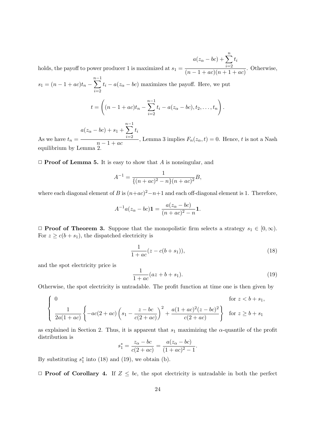holds, the payoff to power producer 1 is maximized at  $s_1 =$  $a(z_\alpha - bc) + \sum^n$ *i*=2 *ti*  $\frac{i=2}{(n-1+ac)(n+1+ac)}$ . Otherwise,

 $s_1 = (n - 1 + ac)t_n$ *n*∑*−*1 *i*=2  $t_i - a(z_\alpha - bc)$  maximizes the payoff. Here, we put

$$
t = \left( (n - 1 + ac)t_n - \sum_{i=2}^{n-1} t_i - a(z_{\alpha} - bc), t_2, \dots, t_n \right).
$$

 $a(z_{\alpha} - bc) + s_1 +$ *n*∑*−*1 *i*=2 *ti*

As we have  $t_n =$  $\frac{i=2}{n-1+ac}$ , Lemma 3 implies  $F_n(z_\alpha, t) = 0$ . Hence, *t* is not a Nash equilibrium by Lemma 2.

#### *✷* **Proof of Lemma 5.** It is easy to show that *A* is nonsingular, and

$$
A^{-1} = \frac{1}{\{(n+ac)^2 - n\}(n+ac)^2}B,
$$

where each diagonal element of *B* is  $(n+ac)^2 - n+1$  and each off-diagonal element is 1. Therefore,

$$
A^{-1}a(z_{\alpha} - bc)\mathbf{1} = \frac{a(z_{\alpha} - bc)}{(n + ac)^2 - n}\mathbf{1}.
$$

 $\Box$  **Proof of Theorem 3.** Suppose that the monopolistic firm selects a strategy *s*<sub>1</sub> *∈* [0*,* ∞). For  $z \geq c(b + s_1)$ , the dispatched electricity is

$$
\frac{1}{1+ac}(z-c(b+s_1)),
$$
\n(18)

and the spot electricity price is

$$
\frac{1}{1+ac}(az+b+s_1).
$$
 (19)

Otherwise, the spot electricity is untradable. The profit function at time one is then given by

$$
\begin{cases}\n0 & \text{for } z < b + s_1, \\
\frac{1}{2a(1+ac)} \left\{-ac(2+ac)\left(s_1 - \frac{z - bc}{c(2+ac)}\right)^2 + \frac{a(1+ac)^2(z - bc)^2}{c(2+ac)}\right\} & \text{for } z \ge b + s_1\n\end{cases}
$$

as explained in Section 2. Thus, it is apparent that  $s_1$  maximizing the  $\alpha$ -quantile of the profit distribution is

$$
s_1^* = \frac{z_{\alpha} - bc}{c(2 + ac)} = \frac{a(z_{\alpha} - bc)}{(1 + ac)^2 - 1}.
$$

By substituting  $s_1^*$  into (18) and (19), we obtain (b).

*✷* **Proof of Corollary 4.** If *Z ≤ bc*, the spot electricity is untradable in both the perfect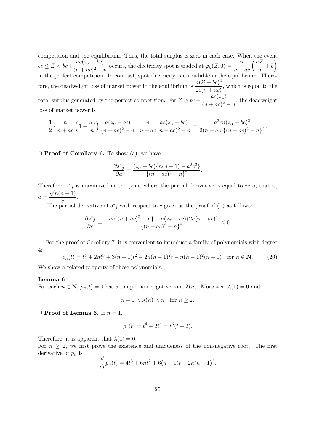competition and the equilibrium. Thus, the total surplus is zero in each case. When the event  $bc \leq Z < bc + \frac{ac(z_{\alpha} - bc)}{(1 - \sqrt{2})^2}$  $\frac{ac(z_{\alpha} - bc)}{(n + ac)^2 - n}$  occurs, the electricity spot is traded at  $\varphi_y(Z, 0) = \frac{n}{n + ac} \left(\frac{aZ_{\alpha} - bc}{n}\right)$  $\frac{iZ}{n} + b$ in the perfect competition. In contrast, spot electricity is untradable in the equilibrium. Therefore, the deadweight loss of market power in the equilibrium is  $\frac{n(Z - bc)^2}{2}$  $\frac{2c(n+ac)}{2c(n+ac)}$ , which is equal to the total surplus generated by the perfect competition. For  $Z \ge bc + \frac{ac(z_{\alpha})}{(1-z)^2}$  $\frac{ac(\sqrt{\alpha})}{(n+ac)^2-n}$ , the deadweight loss of market power is

$$
\frac{1}{2} \cdot \frac{n}{n+ac} \left(1 + \frac{ac}{n}\right) \frac{a(z_{\alpha} - bc)}{(n+ac)^2 - n} \cdot \frac{n}{n+ac} \frac{ac(z_{\alpha} - bc)}{(n+ac)^2 - n} = \frac{a^2 cn(z_{\alpha} - bc)^2}{2(n+ac)\{(n+ac)^2 - n\}^2}.
$$

*✷* **Proof of Corollary 6.** To show (a), we have

$$
\frac{\partial s^*_{j}}{\partial a} = \frac{(z_{\alpha} - bc)\{n(n-1) - a^2c^2\}}{\{(n+ac)^2 - n\}^2}.
$$

Therefore,  $s^*$  is maximized at the point where the partial derivative is equal to zero, that is,  $a = \frac{\sqrt{n(n-1)}}{n}$  $\frac{c}{c}$ .

The partial derivative of  $s^*$  with respect to *c* gives us the proof of (b) as follows:

$$
\frac{\partial s^*_{j}}{\partial c} = \frac{-ab\{(n+ac)^2 - n\} - a(z_{\alpha} - bc)\{2a(n+ac)\}}{\{(n+ac)^2 - n\}^2} \le 0.
$$

For the proof of Corollary 7, it is convenient to introduce a family of polynomials with degree 4:

$$
p_n(t) = t^4 + 2nt^3 + 3(n-1)t^2 - 2n(n-1)^2t - n(n-1)^2(n+1) \text{ for } n \in \mathbb{N}.
$$
 (20)

We show a related property of these polynomials.

#### **Lemma 6**

For each  $n \in \mathbb{N}$ ,  $p_n(t) = 0$  has a unique non-negative root  $\lambda(n)$ . Moreover,  $\lambda(1) = 0$  and

$$
n - 1 < \lambda(n) < n \quad \text{for } n \ge 2.
$$

#### $\Box$  **Proof of Lemma 6.** If  $n = 1$ ,

$$
p_1(t) = t^4 + 2t^3 = t^3(t+2).
$$

Therefore, it is apparent that  $\lambda(1) = 0$ .

For  $n \geq 2$ , we first prove the existence and uniqueness of the non-negative root. The first derivative of *p<sup>n</sup>* is

$$
\frac{d}{dt}p_n(t) = 4t^3 + 6nt^2 + 6(n-1)t - 2n(n-1)^2.
$$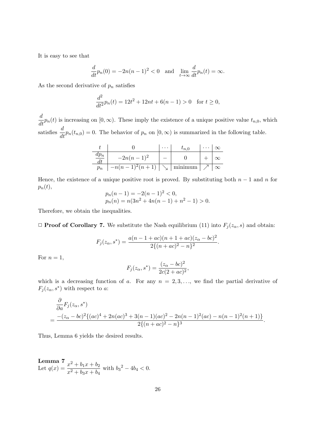It is easy to see that

$$
\frac{d}{dt}p_n(0) = -2n(n-1)^2 < 0 \quad \text{and} \quad \lim_{t \to \infty} \frac{d}{dt}p_n(t) = \infty.
$$

As the second derivative of  $p_n$  satisfies

$$
\frac{d^2}{dt^2}p_n(t) = 12t^2 + 12nt + 6(n-1) > 0 \text{ for } t \ge 0,
$$

 $\frac{d}{dt}p_n(t)$  is increasing on  $[0, \infty)$ . These imply the existence of a unique positive value  $t_{n,0}$ , which satisfies  $\frac{d}{dt}p_n(t_{n,0}) = 0$ . The behavior of  $p_n$  on  $[0,\infty)$  is summarized in the following table.

|       | $-2n(n-1)^2$                            |         |  |
|-------|-----------------------------------------|---------|--|
| $p_n$ | $-n(n-1)^2(n+1)$ $\vert \searrow \vert$ | minimum |  |

Hence, the existence of a unique positive root is proved. By substituting both  $n-1$  and  $n$  for  $p_n(t)$ ,

$$
p_n(n-1) = -2(n-1)^2 < 0,
$$
  
\n
$$
p_n(n) = n(3n^2 + 4n(n-1) + n^2 - 1) > 0.
$$

Therefore, we obtain the inequalities.

 $\Box$  **Proof of Corollary 7.** We substitute the Nash equilibrium (11) into  $F_j(z_\alpha, s)$  and obtain:

$$
F_j(z_\alpha, s^*) = \frac{a(n-1+ac)(n+1+ac)(z_\alpha - bc)^2}{2\{(n+ac)^2 - n\}^2}
$$

*.*

For  $n=1$ ,

$$
F_j(z_\alpha, s^*) = \frac{(z_\alpha - bc)^2}{2c(2 + ac)^2},
$$

which is a decreasing function of *a*. For any  $n = 2, 3, \ldots$ , we find the partial derivative of  $F_j(z_\alpha, s^*)$  with respect to *a*:

$$
\frac{\partial}{\partial a}F_j(z_\alpha, s^*)
$$
  
= 
$$
\frac{-(z_\alpha - bc)^2 \{(ac)^4 + 2n(ac)^3 + 3(n-1)(ac)^2 - 2n(n-1)^2(ac) - n(n-1)^2(n+1)\}}{2\{(n+ac)^2 - n\}^3}.
$$

Thus, Lemma 6 yields the desired results.

Lemma  $7 = x^2 + b_1x + b_2$ <br>Let  $q(x) = \frac{x^2 + b_1x + b_2}{x^2 + b_2x + b_1}$  $\frac{x^2 + b_1x + b_2}{x^2 + b_3x + b_4}$  with  $b_3^2 - 4b_4 < 0$ .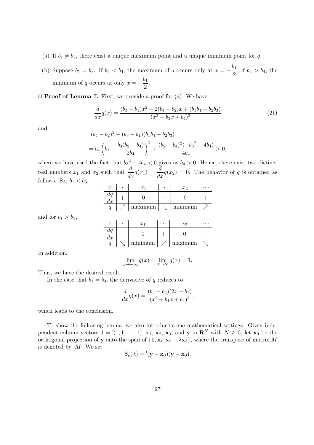- (a) If  $b_1 \neq b_3$ , there exist a unique maximum point and a unique minimum point for *q*.
- (b) Suppose  $b_1 = b_3$ . If  $b_2 < b_4$ , the maximum of *q* occurs only at  $x = -\frac{b_1}{2}$  $\frac{b_1}{2}$ ; if  $b_2 > b_4$ , the minimum of *q* occurs at only  $x = -\frac{b_1}{2}$  $\frac{1}{2}$ .

*✷* **Proof of Lemma 7.** First, we provide a proof for (a). We have

$$
\frac{d}{dx}q(x) = \frac{(b_3 - b_1)x^2 + 2(b_4 - b_2)x + (b_1b_4 - b_2b_3)}{(x^2 + b_3x + b_4)^2}
$$
\n(21)

and

$$
(b_4 - b_2)^2 - (b_3 - b_1)(b_1b_4 - b_2b_3)
$$
  
=  $b_4 \left(b_1 - \frac{b_3(b_2 + b_4)}{2b_4}\right)^2 + \frac{(b_2 - b_4)^2(-b_3^2 + 4b_4)}{4b_4} > 0,$ 

where we have used the fact that  $b_3^2 - 4b_4 < 0$  gives us  $b_4 > 0$ . Hence, there exist two distinct real numbers  $x_1$  and  $x_2$  such that  $\frac{d}{dx}q(x_1) = \frac{d}{dx}q(x_2) = 0$ . The behavior of *q* is obtained as follows. For  $b_1 < b_3$ ,

| $\boldsymbol{x}$ | $\boldsymbol{x}$ | x <sub>2</sub> |  |
|------------------|------------------|----------------|--|
| $\bm{u}$         |                  |                |  |
|                  | maximum          | minimum        |  |

and for  $b_1 > b_3$ ,

| $\boldsymbol{x}$   | $\boldsymbol{x}$ | $\ddot{\phantom{1}}$ | $x_2$   |  |
|--------------------|------------------|----------------------|---------|--|
| $\mu$<br>$\iota x$ |                  |                      |         |  |
|                    | minimum          |                      | maximum |  |

In addition,

$$
\lim_{x \to -\infty} q(x) = \lim_{x \to \infty} q(x) = 1.
$$

Thus, we have the desired result.

In the case that  $b_1 = b_3$ , the derivative of *q* reduces to

$$
\frac{d}{dx}q(x) = \frac{(b_4 - b_2)(2x + b_1)}{(x^2 + b_1x + b_4)^2},
$$

which leads to the conclusion.

To show the following lemma, we also introduce some mathematical settings. Given independent column vectors  $\mathbf{1} = \{1, 1, \ldots, 1\}$ ,  $\mathbf{x}_1, \mathbf{x}_2, \mathbf{x}_3$ , and  $\mathbf{y}$  in  $\mathbf{R}^N$  with  $N \geq 5$ , let  $\mathbf{x}_0$  be the orthogonal projection of **y** onto the span of  $\{1, x_1, x_2 + \lambda x_3\}$ , where the transpose of matrix M is denoted by  $^{\mathrm{t}}M$ . We set

$$
S_e(\lambda) = {}^{\rm t}(\mathbf{y} - \mathbf{x}_0)(\mathbf{y} - \mathbf{x}_0).
$$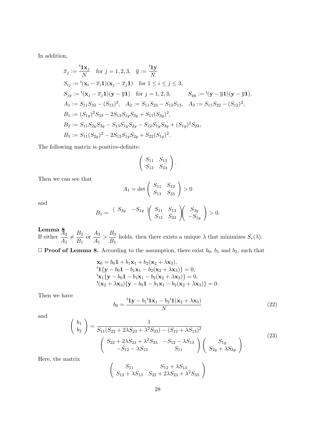In addition,

$$
\overline{x}_j := \frac{t_1 x_j}{N} \quad \text{for } j = 1, 2, 3, \quad \overline{y} := \frac{t_1 y}{N}
$$
\n
$$
S_{ij} := {}^t(\mathbf{x}_i - \overline{x}_i \mathbf{1})(\mathbf{x}_j - \overline{x}_j \mathbf{1}) \quad \text{for } 1 \le i \le j \le 3,
$$
\n
$$
S_{jy} := {}^t(\mathbf{x}_j - \overline{x}_j \mathbf{1})(\mathbf{y} - \overline{y} \mathbf{1}) \quad \text{for } j = 1, 2, 3, \qquad S_{yy} := {}^t(\mathbf{y} - \overline{y} \mathbf{1})(\mathbf{y} - \overline{y} \mathbf{1}),
$$
\n
$$
A_1 := S_{11} S_{33} - (S_{13})^2, \quad A_2 := S_{11} S_{23} - S_{12} S_{13}, \quad A_3 := S_{11} S_{22} - (S_{12})^2,
$$
\n
$$
B_1 := (S_{1y})^2 S_{33} - 2S_{13} S_{1y} S_{3y} + S_{11} (S_{3y})^2,
$$
\n
$$
B_2 := S_{11} S_{2y} S_{3y} - S_{13} S_{1y} S_{2y} - S_{12} S_{1y} S_{3y} + (S_{1y})^2 S_{23},
$$
\n
$$
B_3 := S_{11} (S_{2y})^2 - 2S_{12} S_{1y} S_{2y} + S_{22} (S_{1y})^2.
$$

The following matrix is positive-definite:

$$
\left(\begin{array}{cc} S_{11} & S_{13} \\ S_{13} & S_{33} \end{array}\right).
$$

Then we can see that

$$
A_1 = \det \left( \begin{array}{cc} S_{11} & S_{13} \\ S_{13} & S_{33} \end{array} \right) > 0
$$

and

$$
B_1 = \begin{pmatrix} S_{3y} & -S_{1y} \end{pmatrix} \begin{pmatrix} S_{11} & S_{13} \ S_{13} & S_{33} \end{pmatrix} \begin{pmatrix} S_{3y} \ -S_{1y} \end{pmatrix} > 0.
$$

**Lemma**  $\frac{8}{42}$ <br>If either  $\frac{A_2}{4}$  $\frac{X_2}{A_1}\neq \frac{B_2}{B_1}$  $\frac{B_2}{B_1}$  or  $\frac{A_3}{A_1}$  $\frac{A_3}{A_1} > \frac{B_3}{B_1}$  $\frac{25}{B_1}$  holds, then there exists a unique  $\lambda$  that minimizes  $S_e(\lambda)$ .

 $\Box$  **Proof of Lemma 8.** According to the assumption, there exist  $b_0$ ,  $b_1$  and  $b_2$ , such that

$$
\mathbf{x}_0 = b_0 \mathbf{1} + b_1 \mathbf{x}_1 + b_2 (\mathbf{x}_2 + \lambda \mathbf{x}_3),
$$
  
\n
$$
{}^{t} \mathbf{1} \{ \mathbf{y} - b_0 \mathbf{1} - b_1 \mathbf{x}_1 - b_2 (\mathbf{x}_2 + \lambda \mathbf{x}_3) \} = 0,
$$
  
\n
$$
{}^{t} \mathbf{x}_1 \{ \mathbf{y} - b_0 \mathbf{1} - b_1 \mathbf{x}_1 - b_2 (\mathbf{x}_2 + \lambda \mathbf{x}_3) \} = 0,
$$
  
\n
$$
{}^{t} (\mathbf{x}_2 + \lambda \mathbf{x}_3) \{ \mathbf{y} - b_0 \mathbf{1} - b_1 \mathbf{x}_1 - b_2 (\mathbf{x}_2 + \lambda \mathbf{x}_3) \} = 0.
$$

Then we have

$$
b_0 = \frac{\mathbf{t}_1 \mathbf{y} - b_1 \mathbf{t}_1 \mathbf{x}_1 - b_2 \mathbf{t}_1 (\mathbf{x}_2 + \lambda \mathbf{x}_3)}{N}
$$
(22)

and

$$
\begin{pmatrix}\nb_1 \\
b_2\n\end{pmatrix} = \frac{1}{S_{11}(S_{22} + 2\lambda S_{23} + \lambda^2 S_{33}) - (S_{12} + \lambda S_{13})^2} \begin{pmatrix}\nS_{22} + 2\lambda S_{23} + \lambda^2 S_{33} & -S_{12} - \lambda S_{13} \\
-S_{12} - \lambda S_{13} & S_{11}\n\end{pmatrix} \begin{pmatrix}\nS_{1y} \\
S_{2y} + \lambda S_{3y}\n\end{pmatrix}.
$$
\n(23)

Here, the matrix

$$
\left(\begin{array}{cc}S_{11} & S_{12} + \lambda S_{13} \\ S_{12} + \lambda S_{13} & S_{22} + 2\lambda S_{23} + \lambda^2 S_{33}\end{array}\right)
$$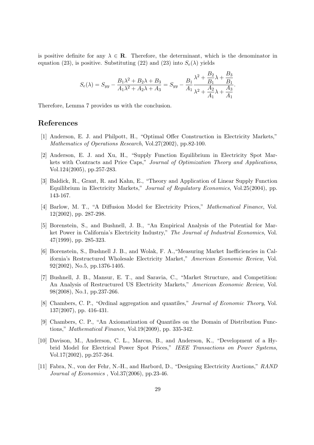is positive definite for any  $\lambda \in \mathbf{R}$ . Therefore, the determinant, which is the denominator in equation (23), is positive. Substituting (22) and (23) into  $S_e(\lambda)$  yields

$$
S_e(\lambda) = S_{yy} - \frac{B_1 \lambda^2 + B_2 \lambda + B_3}{A_1 \lambda^2 + A_2 \lambda + A_3} = S_{yy} - \frac{B_1}{A_1} \frac{\lambda^2 + \frac{B_2}{B_1} \lambda + \frac{B_3}{B_1}}{\lambda^2 + \frac{A_2}{A_1} \lambda + \frac{A_3}{A_1}}.
$$

Therefore, Lemma 7 provides us with the conclusion.

### **References**

- [1] Anderson, E. J. and Philpott, H., "Optimal Offer Construction in Electricity Markets," *Mathematics of Operations Research*, Vol.27(2002), pp.82-100.
- [2] Anderson, E. J. and Xu, H., "Supply Function Equilibrium in Electricity Spot Markets with Contracts and Price Caps," *Journal of Optimization Theory and Applications*, Vol.124(2005), pp.257-283.
- [3] Baldick, R., Grant, R. and Kahn, E., "Theory and Application of Linear Supply Function Equilibrium in Electricity Markets," *Journal of Regulatory Economics*, Vol.25(2004), pp. 143-167.
- [4] Barlow, M. T., "A Diffusion Model for Electricity Prices," *Mathematical Finance*, Vol. 12(2002), pp. 287-298.
- [5] Borenstein, S., and Bushnell, J. B., "An Empirical Analysis of the Potential for Market Power in California's Electricity Industry," *The Journal of Industrial Economics*, Vol. 47(1999), pp. 285-323.
- [6] Borenstein, S., Bushnell J. B., and Wolak, F. A.,"Measuring Market Inefficiencies in California's Restructured Wholesale Electricity Market," *American Economic Review*, Vol. 92(2002), No.5, pp.1376-1405.
- [7] Bushnell, J. B., Mansur, E. T., and Saravia, C., "Market Structure, and Competition: An Analysis of Restructured US Electricity Markets," *American Economic Review*, Vol. 98(2008), No.1, pp.237-266.
- [8] Chambers, C. P., "Ordinal aggregation and quantiles," *Journal of Economic Theory*, Vol. 137(2007), pp. 416-431.
- [9] Chambers, C. P., "An Axiomatization of Quantiles on the Domain of Distribution Functions," *Mathematical Finance*, Vol.19(2009), pp. 335-342.
- [10] Davison, M., Anderson, C. L., Marcus, B., and Anderson, K., "Development of a Hybrid Model for Electrical Power Spot Prices," *IEEE Transactions on Power Systems*, Vol.17(2002), pp.257-264.
- [11] Fabra, N., von der Fehr, N.-H., and Harbord, D., "Designing Electricity Auctions," *RAND Journal of Economics* , Vol.37(2006), pp.23-46.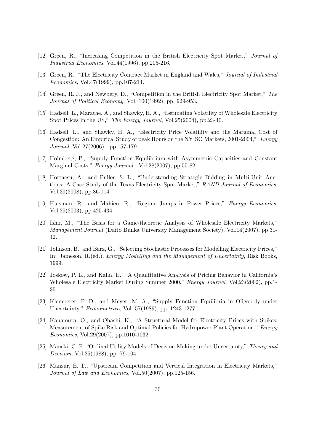- [12] Green, R., "Increasing Competition in the British Electricity Spot Market," *Journal of Industrial Economics*, Vol.44(1996), pp.205-216.
- [13] Green, R., "The Electricity Contract Market in England and Wales," *Journal of Industrial Economics*, Vol.47(1999), pp.107-214.
- [14] Green, R. J., and Newbery, D., "Competition in the British Electricity Spot Market," *The Journal of Political Economy*, Vol. 100(1992), pp. 929-953.
- [15] Hadsell, L., Marathe, A., and Shawky, H. A., "Estimating Volatility of Wholesale Electricity Spot Prices in the US," *The Energy Journal*, Vol.25(2004), pp.23-40.
- [16] Hadsell, L., and Shawky, H. A., "Electricity Price Volatility and the Marginal Cost of Congestion: An Empirical Study of peak Hours on the NYISO Markets, 2001-2004," *Energy Journal*, Vol.27(2006) , pp.157-179.
- [17] Holmberg, P., "Supply Function Equilibrium with Asymmetric Capacities and Constant Marginal Costs," *Energy Journal* , Vol.28(2007), pp.55-82.
- [18] Hortacsu, A., and Puller, S. L., "Understanding Strategic Bidding in Multi-Unit Auctions: A Case Study of the Texas Electricity Spot Market," *RAND Journal of Economics*, Vol.39(2008), pp.86-114.
- [19] Huisman, R., and Mahieu, R., "Regime Jumps in Power Prices," *Energy Economics*, Vol.25(2003), pp.425-434.
- [20] Ishii, M., "The Basis for a Game-theoretic Analysis of Wholesale Electricity Markets," *Management Journal* (Daito Bunka University Management Society), Vol.14(2007), pp.31- 42.
- [21] Johnson, B., and Barz, G., "Selecting Stochastic Processes for Modelling Electricity Prices," In: Jameson, R.(ed.), *Energy Modelling and the Management of Uncertainty*, Risk Books, 1999.
- [22] Joskow, P. L., and Kahn, E., "A Quantitative Analysis of Pricing Behavior in California's Wholesale Electricity Market During Summer 2000," *Energy Journal*, Vol.23(2002), pp.1- 35.
- [23] Klemperer, P. D., and Meyer, M. A., "Supply Function Equilibria in Oligopoly under Uncertainty," *Econometrica*, Vol. 57(1989), pp. 1243-1277.
- [24] Kanamura, O., and Ohashi, K., "A Structural Model for Electricity Prices with Spikes: Measurement of Spike Risk and Optimal Policies for Hydropower Plant Operation," *Energy Economics*, Vol.29(2007), pp.1010-1032.
- [25] Manski, C. F. "Ordinal Utility Models of Decision Making under Uncertainty," *Theory and Decision*, Vol.25(1988), pp. 79-104.
- [26] Mansur, E. T., "Upstream Competition and Vertical Integration in Electricity Markets," *Journal of Law and Economics*, Vol.50(2007), pp.125-156.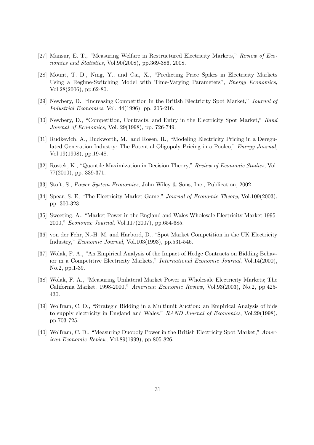- [27] Mansur, E. T., "Measuring Welfare in Restructured Electricity Markets," *Review of Economics and Statistics*, Vol.90(2008), pp.369-386, 2008.
- [28] Mount, T. D., Ning, Y., and Cai, X., "Predicting Price Spikes in Electricity Markets Using a Regime-Switching Model with Time-Varying Parameters", *Energy Economics*, Vol.28(2006), pp.62-80.
- [29] Newbery, D., "Increasing Competition in the British Electricity Spot Market," *Journal of Industrial Economics*, Vol. 44(1996), pp. 205-216.
- [30] Newbery, D., "Competition, Contracts, and Entry in the Electricity Spot Market," *Rand Journal of Economics*, Vol. 29(1998), pp. 726-749.
- [31] Rudkevich, A., Duckworth, M., and Rosen, R., "Modeling Electricity Pricing in a Deregulated Generation Industry: The Potential Oligopoly Pricing in a Poolco," *Energy Journal*, Vol.19(1998), pp.19-48.
- [32] Rostek, K., "Quantile Maximization in Decision Theory," *Review of Economic Studies*, Vol. 77(2010), pp. 339-371.
- [33] Stoft, S., *Power System Economics*, John Wiley & Sons, Inc., Publication, 2002.
- [34] Spear, S. E, "The Electricity Market Game," *Journal of Economic Theory*, Vol.109(2003), pp. 300-323.
- [35] Sweeting, A., "Market Power in the England and Wales Wholesale Electricity Market 1995- 2000," *Economic Journal*, Vol.117(2007), pp.654-685.
- [36] von der Fehr, N.-H. M, and Harbord, D., "Spot Market Competition in the UK Electricity Industry," *Economic Journal*, Vol.103(1993), pp.531-546.
- [37] Wolak, F. A., "An Empirical Analysis of the Impact of Hedge Contracts on Bidding Behavior in a Competitive Electricity Markets," *International Economic Journal*, Vol.14(2000), No.2, pp.1-39.
- [38] Wolak, F. A., "Measuring Unilateral Market Power in Wholesale Electricity Markets; The California Market, 1998-2000," *American Economic Review*, Vol.93(2003), No.2, pp.425- 430.
- [39] Wolfram, C. D., "Strategic Bidding in a Multiunit Auction: an Empirical Analysis of bids to supply electricity in England and Wales," *RAND Journal of Economics*, Vol.29(1998), pp.703-725.
- [40] Wolfram, C. D., "Measuring Duopoly Power in the British Electricity Spot Market," *American Economic Review*, Vol.89(1999), pp.805-826.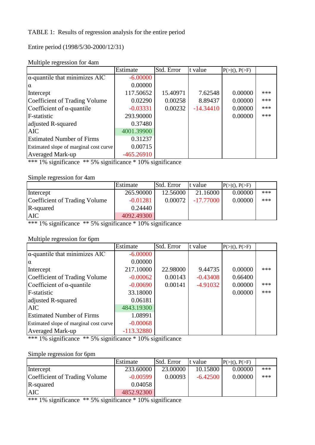### TABLE 1: Results of regression analysis for the entire period

Entire period (1998/5/30-2000/12/31)

|                                        | Estimate     | Std. Error | t value     | $P(> t ), P(>=F)$ |     |
|----------------------------------------|--------------|------------|-------------|-------------------|-----|
| $\alpha$ -quantile that minimizes AIC  | $-6.00000$   |            |             |                   |     |
| $\alpha$                               | 0.00000      |            |             |                   |     |
| Intercept                              | 117.50652    | 15.40971   | 7.62548     | 0.00000           | *** |
| Coefficient of Trading Volume          | 0.02290      | 0.00258    | 8.89437     | 0.00000           | *** |
| Coefficient of $\alpha$ -quantile      | $-0.03331$   | 0.00232    | $-14.34410$ | 0.00000           | *** |
| F-statistic                            | 293.90000    |            |             | 0.00000           | *** |
| adjusted R-squared                     | 0.37480      |            |             |                   |     |
| <b>AIC</b>                             | 4001.39900   |            |             |                   |     |
| <b>Estimated Number of Firms</b>       | 0.31237      |            |             |                   |     |
| Estimated slope of marginal cost curve | 0.00715      |            |             |                   |     |
| <b>Averaged Mark-up</b>                | $-465.26910$ |            |             |                   |     |

### Multiple regression for 4am

\*\*\* 1% significance \*\* 5% significance \* 10% significance

### Simple regression for 4am

|                               | Estimate   | Std. Error | t value     | $P(>= t ), P(>=F)$ |       |
|-------------------------------|------------|------------|-------------|--------------------|-------|
| Intercept                     | 265.90000  | 12.56000   | 21.16000    | 0.00000            | $***$ |
| Coefficient of Trading Volume | $-0.01281$ | 0.00072    | $-17.77000$ | 0.00000            | $***$ |
| R-squared                     | 0.24440    |            |             |                    |       |
| <b>AIC</b>                    | 4092.49300 |            |             |                    |       |

\*\*\* 1% significance \*\* 5% significance \* 10% significance

### Multiple regression for 6pm

|                                        | Estimate     | Std. Error | t value    | $P(>= t ), P(>=F)$ |     |
|----------------------------------------|--------------|------------|------------|--------------------|-----|
| $\alpha$ -quantile that minimizes AIC  | $-6.00000$   |            |            |                    |     |
| Iα                                     | 0.00000      |            |            |                    |     |
| Intercept                              | 217.10000    | 22.98000   | 9.44735    | 0.00000            | *** |
| Coefficient of Trading Volume          | $-0.00062$   | 0.00143    | $-0.43408$ | 0.66400            |     |
| Coefficient of $\alpha$ -quantile      | $-0.00690$   | 0.00141    | $-4.91032$ | 0.00000            | *** |
| F-statistic                            | 33.18000     |            |            | 0.00000            | *** |
| adjusted R-squared                     | 0.06181      |            |            |                    |     |
| <b>AIC</b>                             | 4843.19300   |            |            |                    |     |
| <b>Estimated Number of Firms</b>       | 1.08991      |            |            |                    |     |
| Estimated slope of marginal cost curve | $-0.00068$   |            |            |                    |     |
| <b>Averaged Mark-up</b>                | $-113.32880$ |            |            |                    |     |

\*\*\* 1% significance \*\* 5% significance \* 10% significance

### Simple regression for 6pm

|                               | Estimate   | Std. Error | t value    | $P(>= t ), P(>=F)$ |     |
|-------------------------------|------------|------------|------------|--------------------|-----|
| Intercept                     | 233.60000  | 23,00000   | 10.15800   | 0.00000            | *** |
| Coefficient of Trading Volume | $-0.00599$ | 0.00093    | $-6.42500$ | 0.00000            | *** |
| R-squared                     | 0.04058    |            |            |                    |     |
| <b>AIC</b>                    | 4852.92300 |            |            |                    |     |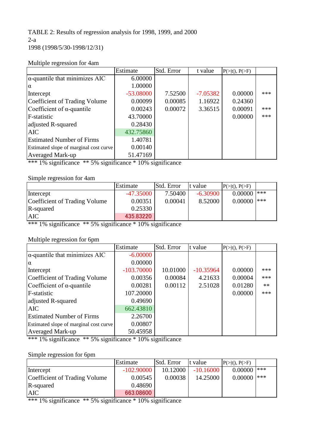TABLE 2: Results of regression analysis for 1998, 1999, and 2000 2-a 1998 (1998/5/30-1998/12/31)

|                                        | Estimate    | Std. Error | t value    | $P(> t ), P(>=F)$ |     |
|----------------------------------------|-------------|------------|------------|-------------------|-----|
| $\alpha$ -quantile that minimizes AIC  | 6.00000     |            |            |                   |     |
| $\alpha$                               | 1.00000     |            |            |                   |     |
| Intercept                              | $-53.08000$ | 7.52500    | $-7.05382$ | 0.00000           | *** |
| Coefficient of Trading Volume          | 0.00099     | 0.00085    | 1.16922    | 0.24360           |     |
| Coefficient of $\alpha$ -quantile      | 0.00243     | 0.00072    | 3.36515    | 0.00091           | *** |
| F-statistic                            | 43.70000    |            |            | 0.00000           | *** |
| adjusted R-squared                     | 0.28430     |            |            |                   |     |
| <b>AIC</b>                             | 432.75860   |            |            |                   |     |
| <b>Estimated Number of Firms</b>       | 1.40781     |            |            |                   |     |
| Estimated slope of marginal cost curve | 0.00140     |            |            |                   |     |
| <b>Averaged Mark-up</b>                | 51.47169    |            |            |                   |     |

### Multiple regression for 4am

\*\*\* 1% significance \*\* 5% significance \* 10% significance

### Simple regression for 4am

|                               | Estimate    | Std. Error | t value    | $P(>= t ), P(>=F)$ |     |
|-------------------------------|-------------|------------|------------|--------------------|-----|
| Intercept                     | $-47.35000$ | 7.50400 i  | $-6.30900$ | 0.00000            | *** |
| Coefficient of Trading Volume | 0.00351     | 0.00041    | 8.52000    | 0.00000            | *** |
| R-squared                     | 0.25330     |            |            |                    |     |
| <b>AIC</b>                    | 435.83220   |            |            |                    |     |

\*\*\* 1% significance \*\* 5% significance \* 10% significance

### Multiple regression for 6pm

|                                        | Estimate     | Std. Error | t value     | $P(>= t ), P(>=F)$ |      |
|----------------------------------------|--------------|------------|-------------|--------------------|------|
| $\alpha$ -quantile that minimizes AIC  | $-6.00000$   |            |             |                    |      |
| $\alpha$                               | 0.00000      |            |             |                    |      |
| Intercept                              | $-103.70000$ | 10.01000   | $-10.35964$ | 0.00000            | ***  |
| Coefficient of Trading Volume          | 0.00356      | 0.00084    | 4.21633     | 0.00004            | ***  |
| Coefficient of $\alpha$ -quantile      | 0.00281      | 0.00112    | 2.51028     | 0.01280            | $**$ |
| F-statistic                            | 107.20000    |            |             | 0.00000            | ***  |
| adjusted R-squared                     | 0.49690      |            |             |                    |      |
| <b>AIC</b>                             | 662.43810    |            |             |                    |      |
| <b>Estimated Number of Firms</b>       | 2.26700      |            |             |                    |      |
| Estimated slope of marginal cost curve | 0.00807      |            |             |                    |      |
| <b>Averaged Mark-up</b>                | 50.45958     |            |             |                    |      |

\*\*\* 1% significance \*\* 5% significance \* 10% significance

### Simple regression for 6pm

|                               | Estimate     | Std. Error | It value    | $P(>= t ), P(>=F)$ |     |
|-------------------------------|--------------|------------|-------------|--------------------|-----|
| Intercept                     | $-102.90000$ | 10.12000   | $-10.16000$ | 0.00000            | *** |
| Coefficient of Trading Volume | 0.00545      | 0.00038    | 14.25000    | 0.00000            | *** |
| R-squared                     | 0.48690      |            |             |                    |     |
| <b>AIC</b>                    | 663,08600    |            |             |                    |     |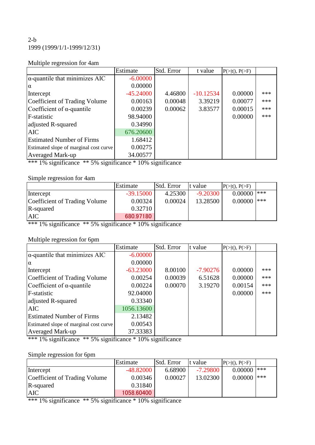### $2-b$ 1999 (1999/1/1-1999/12/31)

### Multiple regression for 4am

|                                        | Estimate    | Std. Error | t value     | $P(> t ), P(>=F)$ |     |
|----------------------------------------|-------------|------------|-------------|-------------------|-----|
| $\alpha$ -quantile that minimizes AIC  | $-6.00000$  |            |             |                   |     |
| $\alpha$                               | 0.00000     |            |             |                   |     |
| Intercept                              | $-45.24000$ | 4.46800    | $-10.12534$ | 0.00000           | *** |
| Coefficient of Trading Volume          | 0.00163     | 0.00048    | 3.39219     | 0.00077           | *** |
| Coefficient of $\alpha$ -quantile      | 0.00239     | 0.00062    | 3.83577     | 0.00015           | *** |
| F-statistic                            | 98.94000    |            |             | 0.00000           | *** |
| adjusted R-squared                     | 0.34990     |            |             |                   |     |
| <b>AIC</b>                             | 676.20600   |            |             |                   |     |
| <b>Estimated Number of Firms</b>       | 1.68412     |            |             |                   |     |
| Estimated slope of marginal cost curve | 0.00275     |            |             |                   |     |
| <b>Averaged Mark-up</b>                | 34.00577    |            |             |                   |     |

\*\*\* 1% significance \*\* 5% significance \* 10% significance

### Simple regression for 4am

|                               | Estimate    | Std. Error | t value    | $P(>= t ), P(>=F)$ |     |
|-------------------------------|-------------|------------|------------|--------------------|-----|
| Intercept                     | $-39.15000$ | 4.25300    | $-9.20300$ | 0.00000            | *** |
| Coefficient of Trading Volume | 0.00324     | 0.00024    | 13.28500   | 0.00000            | *** |
| R-squared                     | 0.32710     |            |            |                    |     |
| <b>AIC</b>                    | 680.97180   |            |            |                    |     |

\*\*\* 1% significance \*\* 5% significance \* 10% significance

### Multiple regression for 6pm

|                                        | Estimate    | Std. Error | t value    | $P(> t ), P(>=F)$ |     |
|----------------------------------------|-------------|------------|------------|-------------------|-----|
| $\alpha$ -quantile that minimizes AIC  | $-6.00000$  |            |            |                   |     |
| $\alpha$                               | 0.00000     |            |            |                   |     |
| Intercept                              | $-63.23000$ | 8.00100    | $-7.90276$ | 0.00000           | *** |
| Coefficient of Trading Volume          | 0.00254     | 0.00039    | 6.51628    | 0.00000           | *** |
| Coefficient of $\alpha$ -quantile      | 0.00224     | 0.00070    | 3.19270    | 0.00154           | *** |
| F-statistic                            | 92.04000    |            |            | 0.00000           | *** |
| adjusted R-squared                     | 0.33340     |            |            |                   |     |
| <b>AIC</b>                             | 1056.13600  |            |            |                   |     |
| <b>Estimated Number of Firms</b>       | 2.13482     |            |            |                   |     |
| Estimated slope of marginal cost curve | 0.00543     |            |            |                   |     |
| Averaged Mark-up                       | 37.33383    |            |            |                   |     |

\*\*\* 1% significance \*\* 5% significance \* 10% significance

### Simple regression for 6pm

|                               | Estimate    | Std. Error | t value    | $P(>= t ), P(>=F)$ |     |
|-------------------------------|-------------|------------|------------|--------------------|-----|
| Intercept                     | $-48.82000$ | 6.68900    | $-7.29800$ | 0.00000            | *** |
| Coefficient of Trading Volume | 0.00346     | 0.00027    | 13.02300   | 0.00000            | *** |
| R-squared                     | 0.31840     |            |            |                    |     |
| <b>AIC</b>                    | 1058.60400  |            |            |                    |     |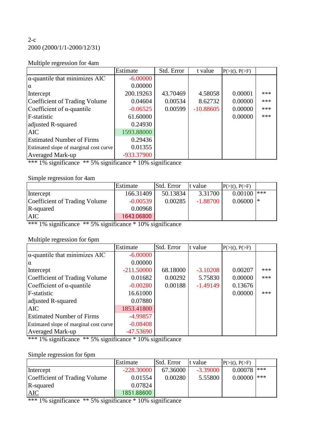### $2-c$ 2000 (2000/1/1-2000/12/31)

### Multiple regression for 4am

|                                                           | Estimate   | Std. Error | t value     | $P(>\mid t \mid), P(>\!\!\!\!\!\!\!F)$ |     |
|-----------------------------------------------------------|------------|------------|-------------|----------------------------------------|-----|
| $\alpha$ -quantile that minimizes $\overline{\text{AIC}}$ | $-6.00000$ |            |             |                                        |     |
| $\alpha$                                                  | 0.00000    |            |             |                                        |     |
| Intercept                                                 | 200.19263  | 43.70469   | 4.58058     | 0.00001                                | *** |
| Coefficient of Trading Volume                             | 0.04604    | 0.00534    | 8.62732     | 0.00000                                | *** |
| Coefficient of $\alpha$ -quantile                         | $-0.06525$ | 0.00599    | $-10.88605$ | 0.00000                                | *** |
| F-statistic                                               | 61.60000   |            |             | 0.00000                                | *** |
| adjusted R-squared                                        | 0.24930    |            |             |                                        |     |
| <b>AIC</b>                                                | 1593.88000 |            |             |                                        |     |
| <b>Estimated Number of Firms</b>                          | 0.29436    |            |             |                                        |     |
| Estimated slope of marginal cost curve                    | 0.01355    |            |             |                                        |     |
| <b>Averaged Mark-up</b>                                   | -933.37900 |            |             |                                        |     |

\*\*\* 1% significance \*\* 5% significance \* 10% significance

### Simple regression for 4am

|                               | Estimate   | Std. Error | t value    | $P(>= t ), P(>=F)$ |     |
|-------------------------------|------------|------------|------------|--------------------|-----|
| Intercept                     | 166.31409  | 50.13834   | 3.31700    | 0.00100            | *** |
| Coefficient of Trading Volume | $-0.00539$ | 0.00285    | $-1.88700$ | $0.06000$  *       |     |
| R-squared                     | 0.00968    |            |            |                    |     |
| <b>AIC</b>                    | 1643.06800 |            |            |                    |     |

\*\*\* 1% significance \*\* 5% significance \* 10% significance

### Multiple regression for 6pm

|                                        | Estimate     | Std. Error | t value    | $P(>= t ), P(>=F)$ |     |
|----------------------------------------|--------------|------------|------------|--------------------|-----|
| $\alpha$ -quantile that minimizes AIC  | $-6.00000$   |            |            |                    |     |
| $\alpha$                               | 0.00000      |            |            |                    |     |
| Intercept                              | $-211.50000$ | 68.18000   | $-3.10208$ | 0.00207            | *** |
| Coefficient of Trading Volume          | 0.01682      | 0.00292    | 5.75830    | 0.00000            | *** |
| Coefficient of $\alpha$ -quantile      | $-0.00280$   | 0.00188    | $-1.49149$ | 0.13676            |     |
| F-statistic                            | 16.61000     |            |            | 0.00000            | *** |
| adjusted R-squared                     | 0.07880      |            |            |                    |     |
| <b>AIC</b>                             | 1853.41800   |            |            |                    |     |
| <b>Estimated Number of Firms</b>       | $-4.99857$   |            |            |                    |     |
| Estimated slope of marginal cost curve | $-0.08408$   |            |            |                    |     |
| <b>Averaged Mark-up</b>                | $-47.53690$  |            |            |                    |     |

\*\*\* 1% significance \*\* 5% significance \* 10% significance

## Simple regression for 6pm

|                               | Estimate     | Std. Error | t value    | $P(>= t ), P(>=F)$ |     |
|-------------------------------|--------------|------------|------------|--------------------|-----|
| Intercept                     | $-228.30000$ | 67.36000   | $-3.39000$ | 0.00078            | *** |
| Coefficient of Trading Volume | 0.01554      | 0.00280    | 5.55800    | 0.00000            | *** |
| R-squared                     | 0.07824      |            |            |                    |     |
| AIC                           | 1851.88600   |            |            |                    |     |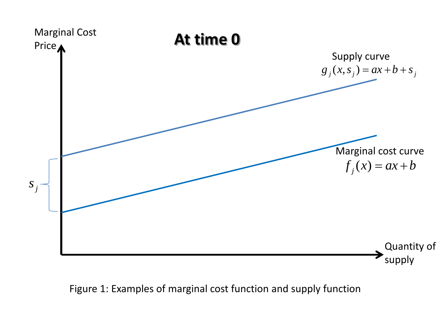

Figure 1: Examples of marginal cost function and supply function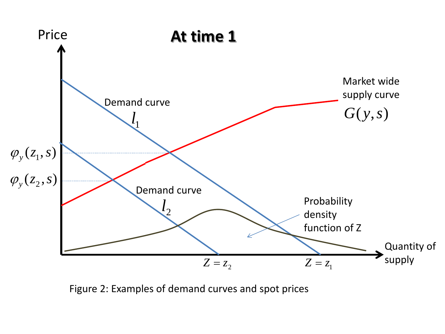

Figure 2: Examples of demand curves and spot prices